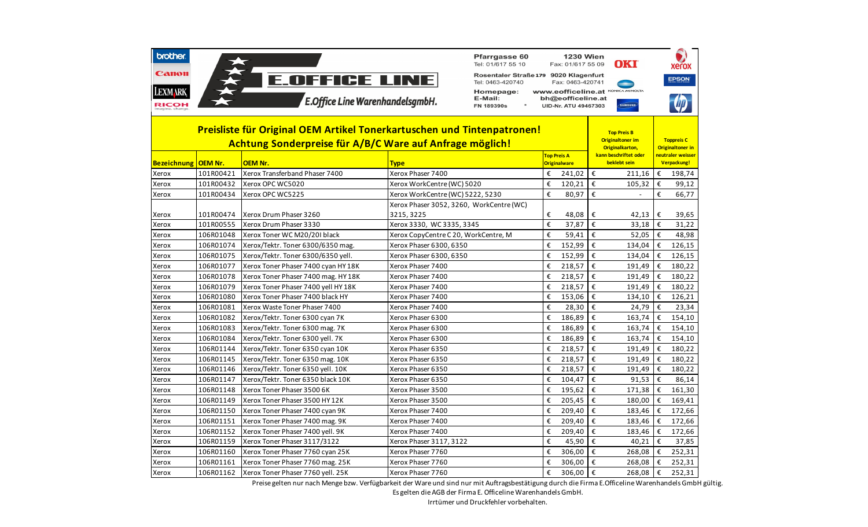| <b>brother</b><br>Canon<br><b>LEXMARK</b><br><b>RICOH</b>                                                                                                                                             |                        | <b>E.OFFICE LINE</b><br><b>E.Office Line WarenhandelsgmbH.</b> |                                      | <b>Pfarrgasse 60</b><br>Tel: 01/617 55 10<br>Rosentaler Straße 179 9020 Klagenfurt<br>Tel: 0463-420740<br>Homepage:<br>E-Mail:<br>FN 189390s |                     | <b>1230 Wien</b><br>Fax: 01/617 55 09<br>Fax: 0463-420741<br>bh@eofficeline.at<br>UID-Nr. ATU 49467303 |                         | <b>OKI</b><br>WWW.eofficeline.at KONICA MINOLTA<br>SAMSUNG                                                |        | <b>Xerox</b><br><b>EPSON</b>                               |
|-------------------------------------------------------------------------------------------------------------------------------------------------------------------------------------------------------|------------------------|----------------------------------------------------------------|--------------------------------------|----------------------------------------------------------------------------------------------------------------------------------------------|---------------------|--------------------------------------------------------------------------------------------------------|-------------------------|-----------------------------------------------------------------------------------------------------------|--------|------------------------------------------------------------|
| Preisliste für Original OEM Artikel Tonerkartuschen und Tintenpatronen!<br>Achtung Sonderpreise für A/B/C Ware auf Anfrage möglich!<br><b>Bezeichnung</b><br><b>OEM Nr.</b><br>OEM Nr.<br><b>Type</b> |                        |                                                                |                                      |                                                                                                                                              |                     | <b>Top Preis A</b>                                                                                     |                         | <b>Top Preis B</b><br><b>Originaltoner im</b><br>Originalkarton,<br>kann beschriftet oder<br>beklebt sein |        | <b>Toppreis C</b><br>Originaltoner in<br>neutraler weisser |
|                                                                                                                                                                                                       |                        |                                                                |                                      |                                                                                                                                              | <b>Originalware</b> |                                                                                                        |                         |                                                                                                           |        | Verpackung!                                                |
| Xerox                                                                                                                                                                                                 | 101R00421              | Xerox Transferband Phaser 7400                                 | Xerox Phaser 7400                    |                                                                                                                                              | €<br>€              | 241,02                                                                                                 | €<br>€                  | 211,16                                                                                                    | €<br>€ | 198,74                                                     |
| Xerox                                                                                                                                                                                                 | 101R00432<br>101R00434 | Xerox OPC WC5020<br>Xerox OPC WC5225                           | Xerox WorkCentre (WC) 5020           |                                                                                                                                              | €                   | 120,21<br>80,97                                                                                        | €                       | 105,32                                                                                                    | €      | 99,12<br>66,77                                             |
| Xerox                                                                                                                                                                                                 |                        |                                                                | Xerox WorkCentre (WC) 5222, 5230     | Xerox Phaser 3052, 3260, WorkCentre (WC)                                                                                                     |                     |                                                                                                        |                         |                                                                                                           |        |                                                            |
| Xerox                                                                                                                                                                                                 | 101R00474              | Xerox Drum Phaser 3260                                         | 3215, 3225                           |                                                                                                                                              | €                   | 48,08                                                                                                  | €                       | 42,13                                                                                                     | €      | 39,65                                                      |
| Xerox                                                                                                                                                                                                 | 101R00555              | Xerox Drum Phaser 3330                                         | Xerox 3330, WC 3335, 3345            |                                                                                                                                              | €                   | 37,87                                                                                                  | €                       | 33,18                                                                                                     | €      | 31,22                                                      |
| Xerox                                                                                                                                                                                                 | 106R01048              | Xerox Toner WC M20/20I black                                   | Xerox CopyCentre C 20, WorkCentre, M |                                                                                                                                              | €                   | 59,41                                                                                                  | €                       | 52,05                                                                                                     | €      | 48,98                                                      |
| Xerox                                                                                                                                                                                                 | 106R01074              | Xerox/Tektr. Toner 6300/6350 mag.                              | Xerox Phaser 6300, 6350              |                                                                                                                                              | €                   | 152,99                                                                                                 | €                       | 134,04                                                                                                    | €      | 126,15                                                     |
| Xerox                                                                                                                                                                                                 | 106R01075              | Xerox/Tektr. Toner 6300/6350 yell.                             | Xerox Phaser 6300, 6350              |                                                                                                                                              | €                   | 152,99                                                                                                 | $\boldsymbol{\epsilon}$ | 134,04                                                                                                    | €      | 126,15                                                     |
| Xerox                                                                                                                                                                                                 | 106R01077              | Xerox Toner Phaser 7400 cyan HY 18K                            | Xerox Phaser 7400                    |                                                                                                                                              | €                   | 218,57                                                                                                 | €                       | 191,49                                                                                                    | €      | 180,22                                                     |
| Xerox                                                                                                                                                                                                 | 106R01078              | Xerox Toner Phaser 7400 mag. HY 18K                            | Xerox Phaser 7400                    |                                                                                                                                              | €                   | 218,57                                                                                                 | €                       | 191,49                                                                                                    | €      | 180,22                                                     |
| Xerox                                                                                                                                                                                                 | 106R01079              | Xerox Toner Phaser 7400 yell HY 18K                            | Xerox Phaser 7400                    |                                                                                                                                              | €                   | 218,57                                                                                                 | €                       | 191,49                                                                                                    | €      | 180,22                                                     |
| Xerox                                                                                                                                                                                                 | 106R01080              | Xerox Toner Phaser 7400 black HY                               | Xerox Phaser 7400                    |                                                                                                                                              | €                   | 153,06                                                                                                 | €                       | 134,10                                                                                                    | €      | 126,21                                                     |
| Xerox                                                                                                                                                                                                 | 106R01081              | Xerox Waste Toner Phaser 7400                                  | Xerox Phaser 7400                    |                                                                                                                                              | €                   | 28,30                                                                                                  | €                       | 24,79                                                                                                     | €      | 23,34                                                      |
| Xerox                                                                                                                                                                                                 | 106R01082              | Xerox/Tektr. Toner 6300 cyan 7K                                | Xerox Phaser 6300                    |                                                                                                                                              | €                   | 186,89                                                                                                 | €                       | 163,74                                                                                                    | €      | 154,10                                                     |
| Xerox                                                                                                                                                                                                 | 106R01083              | Xerox/Tektr. Toner 6300 mag. 7K                                | Xerox Phaser 6300                    |                                                                                                                                              | €                   | 186,89                                                                                                 | €                       | 163,74                                                                                                    | €      | 154,10                                                     |
| Xerox                                                                                                                                                                                                 | 106R01084              | Xerox/Tektr. Toner 6300 yell. 7K                               | Xerox Phaser 6300                    |                                                                                                                                              | €                   | 186,89                                                                                                 | €                       | 163,74                                                                                                    | €      | 154,10                                                     |
| Xerox                                                                                                                                                                                                 | 106R01144              | Xerox/Tektr. Toner 6350 cyan 10K                               | Xerox Phaser 6350                    |                                                                                                                                              | €                   | 218,57                                                                                                 | €                       | 191,49                                                                                                    | €      | 180,22                                                     |
| Xerox                                                                                                                                                                                                 | 106R01145              | Xerox/Tektr. Toner 6350 mag. 10K                               | Xerox Phaser 6350                    |                                                                                                                                              | €                   | 218,57                                                                                                 | €                       | 191,49                                                                                                    | €      | 180,22                                                     |
| Xerox                                                                                                                                                                                                 | 106R01146              | Xerox/Tektr. Toner 6350 yell. 10K                              | Xerox Phaser 6350                    |                                                                                                                                              | €                   | 218,57                                                                                                 | €                       | 191,49                                                                                                    | €      | 180,22                                                     |
| Xerox                                                                                                                                                                                                 | 106R01147              | Xerox/Tektr. Toner 6350 black 10K                              | Xerox Phaser 6350                    |                                                                                                                                              | €                   | 104,47                                                                                                 | €                       | 91,53                                                                                                     | €      | 86,14                                                      |
| Xerox                                                                                                                                                                                                 | 106R01148              | Xerox Toner Phaser 3500 6K                                     | Xerox Phaser 3500                    |                                                                                                                                              | €                   | 195,62                                                                                                 | €                       | 171,38                                                                                                    | €      | 161,30                                                     |
| Xerox                                                                                                                                                                                                 | 106R01149              | Xerox Toner Phaser 3500 HY 12K                                 | Xerox Phaser 3500                    |                                                                                                                                              | €                   | 205,45                                                                                                 | €                       | 180,00                                                                                                    | €      | 169,41                                                     |
| Xerox                                                                                                                                                                                                 | 106R01150              | Xerox Toner Phaser 7400 cyan 9K                                | Xerox Phaser 7400                    |                                                                                                                                              | €                   | 209,40                                                                                                 | €                       | 183,46                                                                                                    | €      | 172,66                                                     |
| Xerox                                                                                                                                                                                                 | 106R01151              | Xerox Toner Phaser 7400 mag. 9K                                | Xerox Phaser 7400                    |                                                                                                                                              | €                   | 209,40                                                                                                 | €                       | 183,46                                                                                                    | €      | 172,66                                                     |
| Xerox                                                                                                                                                                                                 | 106R01152              | Xerox Toner Phaser 7400 yell. 9K                               | Xerox Phaser 7400                    |                                                                                                                                              | €                   | 209,40                                                                                                 | €                       | 183,46                                                                                                    | €      | 172,66                                                     |
| Xerox                                                                                                                                                                                                 | 106R01159              | Xerox Toner Phaser 3117/3122                                   | Xerox Phaser 3117, 3122              |                                                                                                                                              | €                   | 45,90                                                                                                  | €                       | 40,21                                                                                                     | €      | 37,85                                                      |
| Xerox                                                                                                                                                                                                 | 106R01160              | Xerox Toner Phaser 7760 cyan 25K                               | Xerox Phaser 7760                    |                                                                                                                                              | €                   | 306,00                                                                                                 | €                       | 268,08                                                                                                    | €      | 252,31                                                     |
| Xerox                                                                                                                                                                                                 | 106R01161              | Xerox Toner Phaser 7760 mag. 25K                               | Xerox Phaser 7760                    |                                                                                                                                              | €                   | 306,00                                                                                                 | €                       | 268,08                                                                                                    | €      | 252,31                                                     |
| Xerox                                                                                                                                                                                                 | 106R01162              | Xerox Toner Phaser 7760 yell. 25K                              | Xerox Phaser 7760                    |                                                                                                                                              | €                   | 306,00                                                                                                 | $\boldsymbol{\epsilon}$ | 268,08                                                                                                    | €      | 252,31                                                     |

Preise gelten nur nach Menge bzw. Verfügbarkeit der Ware und sind nur mit Auftragsbestätigung durch die Firma E.Officeline Warenhandels GmbH gültig.

Es gelten die AGB der Firma E. Officeline Warenhandels GmbH.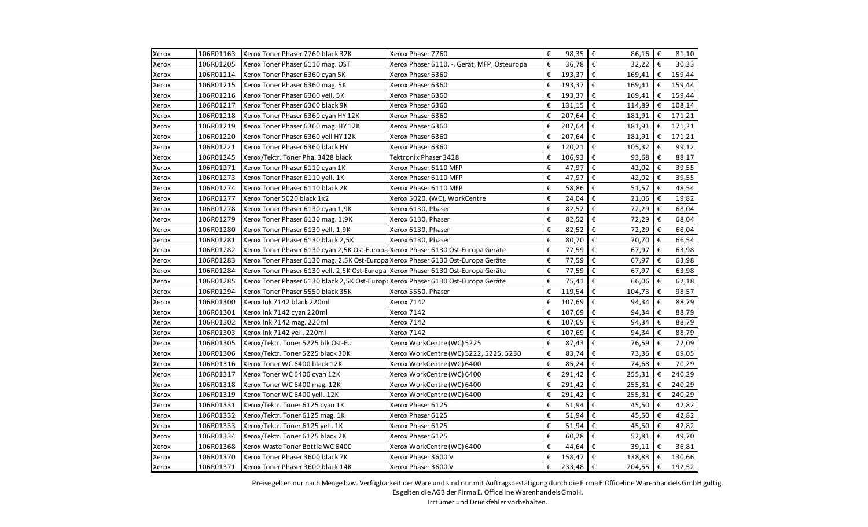| Xerox | 106R01163 | Xerox Toner Phaser 7760 black 32K                                                 | Xerox Phaser 7760                           | €                       | 98,35 $\varepsilon$ | 86,16                             | $\epsilon$ | 81,10  |
|-------|-----------|-----------------------------------------------------------------------------------|---------------------------------------------|-------------------------|---------------------|-----------------------------------|------------|--------|
| Xerox | 106R01205 | Xerox Toner Phaser 6110 mag. OST                                                  | Xerox Phaser 6110, -, Gerät, MFP, Osteuropa | €                       | 36,78 €             | 32,22                             | €          | 30,33  |
| Xerox | 106R01214 | Xerox Toner Phaser 6360 cyan 5K                                                   | Xerox Phaser 6360                           | €                       | 193,37 $\epsilon$   | 169,41                            | €          | 159,44 |
| Xerox | 106R01215 | Xerox Toner Phaser 6360 mag. 5K                                                   | Xerox Phaser 6360                           | €                       | 193,37              | €<br>169,41                       | €          | 159,44 |
| Xerox | 106R01216 | Xerox Toner Phaser 6360 yell. 5K                                                  | Xerox Phaser 6360                           | €                       | 193,37              | €<br>169,41                       | €          | 159,44 |
| Xerox | 106R01217 | Xerox Toner Phaser 6360 black 9K                                                  | Xerox Phaser 6360                           | €                       | 131,15              | €<br>114,89                       | €          | 108,14 |
| Xerox | 106R01218 | Xerox Toner Phaser 6360 cyan HY 12K                                               | Xerox Phaser 6360                           | €                       | 207,64              | €<br>181,91                       | €          | 171,21 |
| Xerox | 106R01219 | Xerox Toner Phaser 6360 mag. HY 12K                                               | Xerox Phaser 6360                           | €                       | 207,64              | €<br>181,91                       | €          | 171,21 |
| Xerox | 106R01220 | Xerox Toner Phaser 6360 yell HY 12K                                               | Xerox Phaser 6360                           | €                       | $207,64$ €          | 181,91                            | €          | 171,21 |
| Xerox | 106R01221 | Xerox Toner Phaser 6360 black HY                                                  | Xerox Phaser 6360                           | €                       | 120,21              | €<br>105,32                       | €          | 99,12  |
| Xerox | 106R01245 | Xerox/Tektr. Toner Pha. 3428 black                                                | Tektronix Phaser 3428                       | €                       | 106,93              | €<br>93,68                        | €          | 88,17  |
| Xerox | 106R01271 | Xerox Toner Phaser 6110 cyan 1K                                                   | Xerox Phaser 6110 MFP                       | €                       | 47,97               | €<br>42,02                        | €          | 39,55  |
| Xerox | 106R01273 | Xerox Toner Phaser 6110 yell. 1K                                                  | Xerox Phaser 6110 MFP                       | €                       | 47,97               | €<br>42,02                        | €          | 39,55  |
| Xerox | 106R01274 | Xerox Toner Phaser 6110 black 2K                                                  | Xerox Phaser 6110 MFP                       | €                       | 58,86               | €<br>51,57                        | €          | 48,54  |
| Xerox | 106R01277 | Xerox Toner 5020 black 1x2                                                        | Xerox 5020, (WC), WorkCentre                | €                       | 24,04               | €<br>21,06                        | €          | 19,82  |
| Xerox | 106R01278 | Xerox Toner Phaser 6130 cyan 1,9K                                                 | Xerox 6130, Phaser                          | €                       | 82,52               | $\boldsymbol{\epsilon}$<br>72,29  | €          | 68,04  |
| Xerox | 106R01279 | Xerox Toner Phaser 6130 mag. 1,9K                                                 | Xerox 6130, Phaser                          | €                       | 82,52               | €<br>72,29                        | €          | 68,04  |
| Xerox | 106R01280 | Xerox Toner Phaser 6130 yell. 1,9K                                                | Xerox 6130, Phaser                          | €                       | 82,52               | €<br>72,29                        | €          | 68,04  |
| Xerox | 106R01281 | Xerox Toner Phaser 6130 black 2,5K                                                | Xerox 6130, Phaser                          | €                       | 80,70               | $\epsilon$<br>70,70               | €          | 66,54  |
| Xerox | 106R01282 | Xerox Toner Phaser 6130 cyan 2,5K Ost-Europa Xerox Phaser 6130 Ost-Europa Geräte  |                                             | €                       | 77,59               | €<br>67,97                        | €          | 63,98  |
| Xerox | 106R01283 | Xerox Toner Phaser 6130 mag. 2,5K Ost-Europa Xerox Phaser 6130 Ost-Europa Geräte  |                                             | €                       | 77,59               | €<br>67,97                        | €          | 63,98  |
| Xerox | 106R01284 | Xerox Toner Phaser 6130 yell. 2,5K Ost-Europa Xerox Phaser 6130 Ost-Europa Geräte |                                             | $\boldsymbol{\epsilon}$ | 77,59               | €<br>67,97                        | €          | 63,98  |
| Xerox | 106R01285 | Xerox Toner Phaser 6130 black 2,5K Ost-Europa Xerox Phaser 6130 Ost-Europa Geräte |                                             | €                       | 75,41               | €<br>66,06                        | €          | 62,18  |
| Xerox | 106R01294 | Xerox Toner Phaser 5550 black 35K                                                 | Xerox 5550, Phaser                          | €                       | 119,54              | $\boldsymbol{\epsilon}$<br>104,73 | €          | 98,57  |
| Xerox | 106R01300 | Xerox Ink 7142 black 220ml                                                        | Xerox 7142                                  | €                       | 107,69              | $\epsilon$<br>94,34               | €          | 88,79  |
| Xerox | 106R01301 | Xerox Ink 7142 cyan 220ml                                                         | Xerox 7142                                  | €                       | 107,69              | €<br>94,34                        | €          | 88,79  |
| Xerox | 106R01302 | Xerox Ink 7142 mag. 220ml                                                         | Xerox 7142                                  | €                       | 107,69              | $\boldsymbol{\epsilon}$<br>94,34  | €          | 88,79  |
| Xerox | 106R01303 | Xerox Ink 7142 yell. 220ml                                                        | Xerox 7142                                  | €                       | 107,69              | €<br>94,34                        | €          | 88,79  |
| Xerox | 106R01305 | Xerox/Tektr. Toner 5225 blk Ost-EU                                                | Xerox WorkCentre (WC) 5225                  | €                       | 87,43               | €<br>76,59                        | €          | 72,09  |
| Xerox | 106R01306 | Xerox/Tektr. Toner 5225 black 30K                                                 | Xerox WorkCentre (WC) 5222, 5225, 5230      | €                       | 83,74               | €<br>73,36                        | €          | 69,05  |
| Xerox | 106R01316 | Xerox Toner WC 6400 black 12K                                                     | Xerox WorkCentre (WC) 6400                  | €                       | 85,24               | €<br>74,68                        | €          | 70,29  |
| Xerox | 106R01317 | Xerox Toner WC 6400 cyan 12K                                                      | Xerox WorkCentre (WC) 6400                  | €                       | 291,42              | €<br>255,31                       | €          | 240,29 |
| Xerox | 106R01318 | Xerox Toner WC 6400 mag. 12K                                                      | Xerox WorkCentre (WC) 6400                  | €                       | 291,42              | €<br>255,31                       | €          | 240,29 |
| Xerox | 106R01319 | Xerox Toner WC 6400 yell. 12K                                                     | Xerox WorkCentre (WC) 6400                  | €                       | 291,42              | €<br>255,31                       | €          | 240,29 |
| Xerox | 106R01331 | Xerox/Tektr. Toner 6125 cyan 1K                                                   | Xerox Phaser 6125                           | €                       | 51,94               | €<br>45,50                        | €          | 42,82  |
| Xerox | 106R01332 | Xerox/Tektr. Toner 6125 mag. 1K                                                   | Xerox Phaser 6125                           | €                       | 51,94               | $\epsilon$<br>45,50               | €          | 42,82  |
| Xerox | 106R01333 | Xerox/Tektr. Toner 6125 yell. 1K                                                  | Xerox Phaser 6125                           | €                       | 51,94               | €<br>45,50                        | €          | 42,82  |
| Xerox | 106R01334 | Xerox/Tektr. Toner 6125 black 2K                                                  | Xerox Phaser 6125                           | €                       | 60,28               | €<br>52,81                        | €          | 49,70  |
| Xerox | 106R01368 | Xerox Waste Toner Bottle WC 6400                                                  | Xerox WorkCentre (WC) 6400                  | €                       | 44,64               | €<br>39,11                        | €          | 36,81  |
| Xerox | 106R01370 | Xerox Toner Phaser 3600 black 7K                                                  | Xerox Phaser 3600 V                         | €                       | 158,47              | €<br>138,83                       | €          | 130,66 |
| Xerox | 106R01371 | Xerox Toner Phaser 3600 black 14K                                                 | Xerox Phaser 3600 V                         | €                       | 233,48 $\epsilon$   | 204,55                            | €          | 192,52 |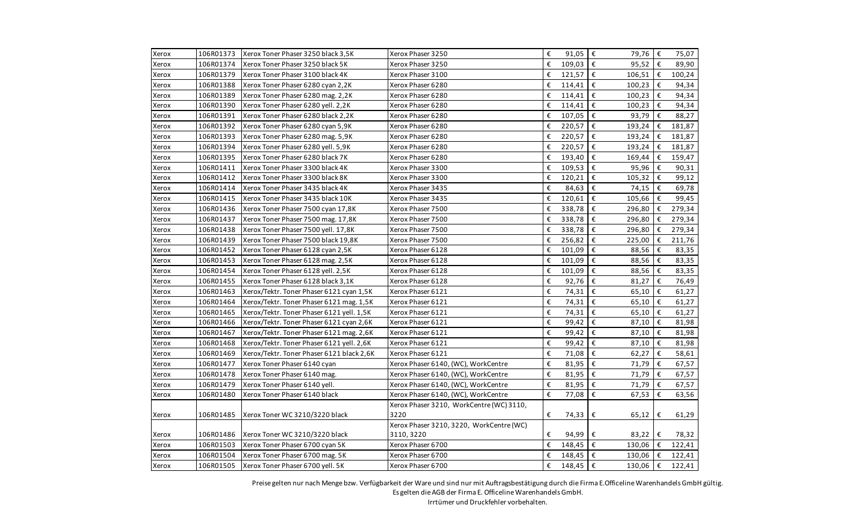| Xerox | 106R01373 | Xerox Toner Phaser 3250 black 3,5K        | Xerox Phaser 3250                        | € | 91,05 $\varepsilon$ | 79,76   €                  |            | 75,07  |
|-------|-----------|-------------------------------------------|------------------------------------------|---|---------------------|----------------------------|------------|--------|
| Xerox | 106R01374 | Xerox Toner Phaser 3250 black 5K          | Xerox Phaser 3250                        | € | $109,03 \in$        | 95,52 $\epsilon$           |            | 89,90  |
| Xerox | 106R01379 | Xerox Toner Phaser 3100 black 4K          | Xerox Phaser 3100                        | € | $121,57$ $\in$      | 106,51                     | €          | 100,24 |
| Xerox | 106R01388 | Xerox Toner Phaser 6280 cyan 2,2K         | Xerox Phaser 6280                        | € | 114,41              | Ι€<br>100,23               | €          | 94,34  |
| Xerox | 106R01389 | Xerox Toner Phaser 6280 mag. 2,2K         | Xerox Phaser 6280                        | € | $114,41$ €          | 100,23                     | €          | 94,34  |
| Xerox | 106R01390 | Xerox Toner Phaser 6280 yell. 2,2K        | Xerox Phaser 6280                        | € | 114,41 $\epsilon$   | 100,23                     | €          | 94,34  |
| Xerox | 106R01391 | Xerox Toner Phaser 6280 black 2,2K        | Xerox Phaser 6280                        | € | 107,05 €            | 93,79                      | €          | 88,27  |
| Xerox | 106R01392 | Xerox Toner Phaser 6280 cyan 5,9K         | Xerox Phaser 6280                        | € | 220,57              | $\vert \epsilon$<br>193,24 | €          | 181,87 |
| Xerox | 106R01393 | Xerox Toner Phaser 6280 mag. 5,9K         | Xerox Phaser 6280                        | € | 220,57 $\epsilon$   | 193,24                     | €          | 181,87 |
| Xerox | 106R01394 | Xerox Toner Phaser 6280 yell. 5,9K        | Xerox Phaser 6280                        | € | $220,57$ $€$        | 193,24                     | €          | 181,87 |
| Xerox | 106R01395 | Xerox Toner Phaser 6280 black 7K          | Xerox Phaser 6280                        | € | 193,40 €            | 169,44                     | €          | 159,47 |
| Xerox | 106R01411 | Xerox Toner Phaser 3300 black 4K          | Xerox Phaser 3300                        | € | 109,53              | 95,96                      | $\epsilon$ | 90,31  |
| Xerox | 106R01412 | Xerox Toner Phaser 3300 black 8K          | Xerox Phaser 3300                        | € | 120,21 $\epsilon$   | 105,32                     | €          | 99,12  |
| Xerox | 106R01414 | Xerox Toner Phaser 3435 black 4K          | Xerox Phaser 3435                        | € | 84,63 $\epsilon$    | 74,15                      | $\epsilon$ | 69,78  |
| Xerox | 106R01415 | Xerox Toner Phaser 3435 black 10K         | Xerox Phaser 3435                        | € | $120,61$ €          | 105,66                     | €          | 99,45  |
| Xerox | 106R01436 | Xerox Toner Phaser 7500 cyan 17,8K        | Xerox Phaser 7500                        | € | 338,78 €            | 296,80                     | €          | 279,34 |
| Xerox | 106R01437 | Xerox Toner Phaser 7500 mag. 17,8K        | Xerox Phaser 7500                        | € | 338,78 €            | 296,80                     | €          | 279,34 |
| Xerox | 106R01438 | Xerox Toner Phaser 7500 yell. 17,8K       | Xerox Phaser 7500                        | € | 338,78 $\epsilon$   | 296,80                     | €          | 279,34 |
| Xerox | 106R01439 | Xerox Toner Phaser 7500 black 19,8K       | Xerox Phaser 7500                        | € | 256,82 $\epsilon$   | 225,00                     | €          | 211,76 |
| Xerox | 106R01452 | Xerox Toner Phaser 6128 cyan 2,5K         | Xerox Phaser 6128                        | € | 101,09 €            | 88,56                      | €          | 83,35  |
| Xerox | 106R01453 | Xerox Toner Phaser 6128 mag. 2,5K         | Xerox Phaser 6128                        | € | 101,09 €            | 88,56                      | €          | 83,35  |
| Xerox | 106R01454 | Xerox Toner Phaser 6128 yell. 2,5K        | Xerox Phaser 6128                        | € | 101,09              | l€<br>88,56                | €          | 83,35  |
| Xerox | 106R01455 | Xerox Toner Phaser 6128 black 3,1K        | Xerox Phaser 6128                        | € | 92,76 €             | 81,27                      | €          | 76,49  |
| Xerox | 106R01463 | Xerox/Tektr. Toner Phaser 6121 cyan 1,5K  | Xerox Phaser 6121                        | € | 74,31 €             | 65,10                      | €          | 61,27  |
| Xerox | 106R01464 | Xerox/Tektr. Toner Phaser 6121 mag. 1,5K  | Xerox Phaser 6121                        | € | 74,31               | $\vert \epsilon$<br>65,10  | €          | 61,27  |
| Xerox | 106R01465 | Xerox/Tektr. Toner Phaser 6121 yell. 1,5K | Xerox Phaser 6121                        | € | 74,31 €             | 65,10                      | €          | 61,27  |
| Xerox | 106R01466 | Xerox/Tektr. Toner Phaser 6121 cyan 2,6K  | Xerox Phaser 6121                        | € | 99,42 $\epsilon$    | 87,10                      | €          | 81,98  |
| Xerox | 106R01467 | Xerox/Tektr. Toner Phaser 6121 mag. 2,6K  | Xerox Phaser 6121                        | € | 99,42               | $\epsilon$<br>87,10        | €          | 81,98  |
| Xerox | 106R01468 | Xerox/Tektr. Toner Phaser 6121 yell. 2,6K | Xerox Phaser 6121                        | € | 99,42 €             | 87,10                      | €          | 81,98  |
| Xerox | 106R01469 | Xerox/Tektr. Toner Phaser 6121 black 2,6K | Xerox Phaser 6121                        | € | 71,08 $\epsilon$    | 62,27                      | €          | 58,61  |
| Xerox | 106R01477 | Xerox Toner Phaser 6140 cyan              | Xerox Phaser 6140, (WC), WorkCentre      | € | 81,95 €             | 71,79                      | €          | 67,57  |
| Xerox | 106R01478 | Xerox Toner Phaser 6140 mag.              | Xerox Phaser 6140, (WC), WorkCentre      | € | 81,95 €             | 71,79                      | €          | 67,57  |
| Xerox | 106R01479 | Xerox Toner Phaser 6140 yell.             | Xerox Phaser 6140, (WC), WorkCentre      | € | 81,95 $\epsilon$    | 71,79                      | €          | 67,57  |
| Xerox | 106R01480 | Xerox Toner Phaser 6140 black             | Xerox Phaser 6140, (WC), WorkCentre      | € | 77,08               | €<br>67,53                 | €          | 63,56  |
|       |           |                                           | Xerox Phaser 3210, WorkCentre (WC) 3110, |   |                     |                            |            |        |
| Xerox | 106R01485 | Xerox Toner WC 3210/3220 black            | 3220                                     | € | 74,33               | €<br>65,12                 | €          | 61,29  |
|       |           |                                           | Xerox Phaser 3210, 3220, WorkCentre (WC) |   |                     |                            |            |        |
| Xerox | 106R01486 | Xerox Toner WC 3210/3220 black            | 3110, 3220                               | € | 94,99               | €<br>83,22 $\epsilon$      |            | 78,32  |
| Xerox | 106R01503 | Xerox Toner Phaser 6700 cyan 5K           | Xerox Phaser 6700                        | € | $148,45$ €          | $130,06$   €               |            | 122,41 |
| Xerox | 106R01504 | Xerox Toner Phaser 6700 mag. 5K           | Xerox Phaser 6700                        | € | $148,45$ €          | 130,06                     | €          | 122,41 |
| Xerox | 106R01505 | Xerox Toner Phaser 6700 yell. 5K          | Xerox Phaser 6700                        | € | $148,45$ €          | 130,06                     | $\epsilon$ | 122,41 |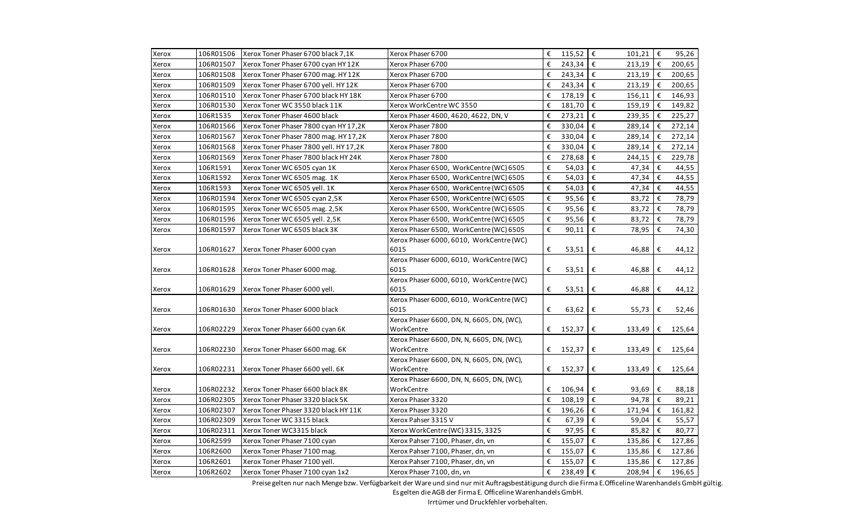| Xerox | 106R01506 | Xerox Toner Phaser 6700 black 7,1K     | Xerox Phaser 6700                         | € | 115,52 $\epsilon$   | $101,21$ $\in$       |            | 95,26    |
|-------|-----------|----------------------------------------|-------------------------------------------|---|---------------------|----------------------|------------|----------|
| Xerox | 106R01507 | Xerox Toner Phaser 6700 cyan HY 12K    | Xerox Phaser 6700                         | € | 243,34 $\epsilon$   | 213,19               | I€         | 200,65   |
| Xerox | 106R01508 | Xerox Toner Phaser 6700 mag. HY 12K    | Xerox Phaser 6700                         | € | 243,34 $\epsilon$   | $213,19$ €           |            | 200,65   |
| Xerox | 106R01509 | Xerox Toner Phaser 6700 yell. HY 12K   | Xerox Phaser 6700                         | € | 243,34 $\epsilon$   | 213,19               | I€         | 200,65   |
| Xerox | 106R01510 | Xerox Toner Phaser 6700 black HY 18K   | Xerox Phaser 6700                         | € | 178,19              | €<br>156,11          | €          | 146,93   |
| Xerox | 106R01530 | Xerox Toner WC 3550 black 11K          | Xerox WorkCentre WC 3550                  | € | 181,70 €            | 159,19               | €          | 149,82   |
| Xerox | 106R1535  | Xerox Toner Phaser 4600 black          | Xerox Phaser 4600, 4620, 4622, DN, V      | € | 273,21              | ∣€<br>239,35         | $\epsilon$ | 225,27   |
| Xerox | 106R01566 | Xerox Toner Phaser 7800 cyan HY 17,2K  | Xerox Phaser 7800                         | € | 330,04 €            | 289,14               | $\epsilon$ | 272,14   |
| Xerox | 106R01567 | Xerox Toner Phaser 7800 mag. HY17,2K   | Xerox Phaser 7800                         | € | 330,04              | ∣€<br>289,14         | €          | 272,14   |
| Xerox | 106R01568 | Xerox Toner Phaser 7800 yell. HY 17,2K | Xerox Phaser 7800                         | € | 330,04              | l€<br>289,14         | €          | 272,14   |
| Xerox | 106R01569 | Xerox Toner Phaser 7800 black HY 24K   | Xerox Phaser 7800                         | € | 278,68 $\epsilon$   | 244,15               | €          | 229,78   |
| Xerox | 106R1591  | Xerox Toner WC 6505 cyan 1K            | Xerox Phaser 6500, WorkCentre (WC) 6505   | € | 54,03               | $\epsilon$<br>47,34  | €          | 44,55    |
| Xerox | 106R1592  | Xerox Toner WC 6505 mag. 1K            | Xerox Phaser 6500, WorkCentre (WC) 6505   | € | 54,03               | ∣€<br>47,34          | €          | 44,55    |
| Xerox | 106R1593  | Xerox Toner WC 6505 yell. 1K           | Xerox Phaser 6500, WorkCentre (WC) 6505   | € | 54,03               | $\epsilon$<br>47,34  | €          | 44,55    |
| Xerox | 106R01594 | Xerox Toner WC 6505 cyan 2,5K          | Xerox Phaser 6500, WorkCentre (WC) 6505   | € | 95,56 $\varepsilon$ | 83,72                | €          | 78,79    |
| Xerox | 106R01595 | Xerox Toner WC 6505 mag. 2,5K          | Xerox Phaser 6500, WorkCentre (WC) 6505   | € | 95,56 €             | 83,72                | €          | 78,79    |
| Xerox | 106R01596 | Xerox Toner WC 6505 yell. 2,5K         | Xerox Phaser 6500, WorkCentre (WC) 6505   | € | 95,56 €             | 83,72                | €          | 78,79    |
| Xerox | 106R01597 | Xerox Toner WC 6505 black 3K           | Xerox Phaser 6500, WorkCentre (WC) 6505   | € | 90,11               | €<br>78,95           | €          | 74,30    |
|       |           |                                        | Xerox Phaser 6000, 6010, WorkCentre (WC)  |   |                     |                      |            |          |
| Xerox | 106R01627 | Xerox Toner Phaser 6000 cyan           | 6015                                      | € | 53,51   €           | 46,88                | €          | 44,12    |
|       |           |                                        | Xerox Phaser 6000, 6010, WorkCentre (WC)  |   |                     |                      |            |          |
| Xerox | 106R01628 | Xerox Toner Phaser 6000 mag.           | 6015                                      | € | 53,51   €           | 46,88                | €          | 44,12    |
|       |           |                                        | Xerox Phaser 6000, 6010, WorkCentre (WC)  |   |                     |                      |            |          |
| Xerox | 106R01629 | Xerox Toner Phaser 6000 yell.          | 6015                                      | € | 53,51               | €<br>46,88           | €          | 44,12    |
|       |           |                                        | Xerox Phaser 6000, 6010, WorkCentre (WC)  |   |                     |                      |            |          |
| Xerox | 106R01630 | Xerox Toner Phaser 6000 black          | 6015                                      | € | 63,62               | €<br>55,73           | €          | 52,46    |
|       |           |                                        | Xerox Phaser 6600, DN, N, 6605, DN, (WC), |   |                     |                      |            |          |
| Xerox | 106R02229 | Xerox Toner Phaser 6600 cyan 6K        | WorkCentre                                | € | 152,37              | €<br>133,49          | €          | 125,64   |
|       |           |                                        | Xerox Phaser 6600, DN, N, 6605, DN, (WC), |   |                     |                      |            |          |
| Xerox | 106R02230 | Xerox Toner Phaser 6600 mag. 6K        | WorkCentre                                | € | 152,37              | €<br>133,49          |            | € 125,64 |
|       |           |                                        | Xerox Phaser 6600, DN, N, 6605, DN, (WC), |   |                     |                      |            |          |
| Xerox | 106R02231 | Xerox Toner Phaser 6600 yell. 6K       | WorkCentre                                | € | 152,37              | €<br>133,49          | €          | 125,64   |
|       |           |                                        | Xerox Phaser 6600, DN, N, 6605, DN, (WC), |   |                     |                      |            |          |
| Xerox | 106R02232 | Xerox Toner Phaser 6600 black 8K       | WorkCentre                                | € | $106,94 \in$        | 93,69                | €          | 88,18    |
| Xerox | 106R02305 | Xerox Toner Phaser 3320 black 5K       | Xerox Phaser 3320                         | € | $108,19$ €          | 94,78                | $\epsilon$ | 89,21    |
| Xerox | 106R02307 | Xerox Toner Phaser 3320 black HY 11K   | Xerox Phaser 3320                         | € | 196,26 $\epsilon$   | 171,94               | €          | 161,82   |
| Xerox | 106R02309 | Xerox Toner WC 3315 black              | Xerox Pahser 3315 V                       | € | 67,39 €             | 59,04                | €          | 55,57    |
| Xerox | 106R02311 | Xerox Toner WC3315 black               | Xerox WorkCentre (WC) 3315, 3325          | € | 97,95 €             | 85,82                | €          | 80,77    |
| Xerox | 106R2599  | Xerox Toner Phaser 7100 cyan           | Xerox Pahser 7100, Phaser, dn, vn         | € | 155,07              | $\epsilon$<br>135,86 | €          | 127,86   |
| Xerox | 106R2600  | Xerox Toner Phaser 7100 mag.           | Xerox Pahser 7100, Phaser, dn, vn         | € | 155,07 €            | 135,86               | Ε          | 127,86   |
| Xerox | 106R2601  | Xerox Toner Phaser 7100 yell.          | Xerox Pahser 7100, Phaser, dn, vn         | € | 155,07              | $\epsilon$<br>135,86 | €          | 127,86   |
| Xerox | 106R2602  | Xerox Toner Phaser 7100 cyan 1x2       | Xerox Phaser 7100, dn, vn                 | € | 238,49 $\epsilon$   | 208,94               | $\epsilon$ | 196,65   |

Preise gelten nur nach Menge bzw. Verfügbarkeit der Ware und sind nur mit Auftragsbestätigung durch die Firma E.Officeline Warenhandels GmbH gültig.

Es gelten die AGB der Firma E. Officeline Warenhandels GmbH.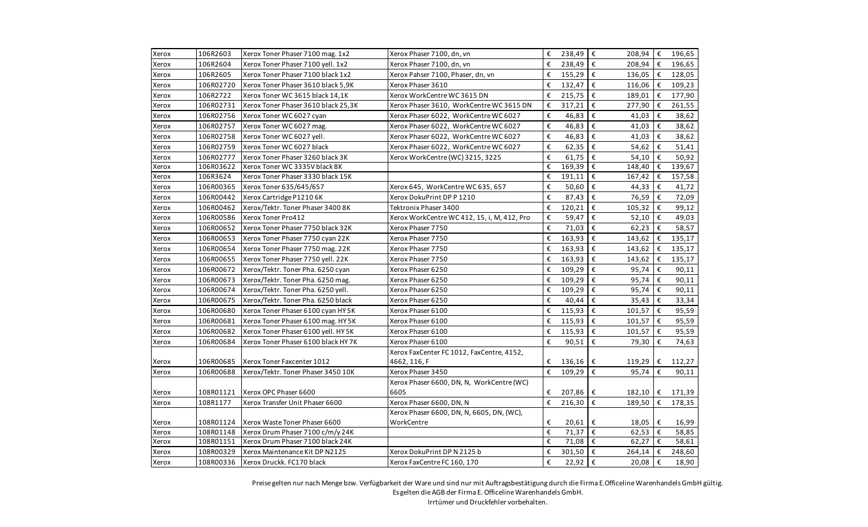| Xerox | 106R2603  | Xerox Toner Phaser 7100 mag. 1x2    | Xerox Phaser 7100, dn, vn                   | €                       | 238,49 $\epsilon$      | 208,94               | €  | 196,65 |
|-------|-----------|-------------------------------------|---------------------------------------------|-------------------------|------------------------|----------------------|----|--------|
| Xerox | 106R2604  | Xerox Toner Phaser 7100 yell. 1x2   | Xerox Phaser 7100, dn, vn                   | €                       | 238,49 $\epsilon$      | 208,94               | €  | 196,65 |
| Xerox | 106R2605  | Xerox Toner Phaser 7100 black 1x2   | Xerox Pahser 7100, Phaser, dn, vn           | €                       | 155,29 $\epsilon$      | 136,05               | €  | 128,05 |
| Xerox | 106R02720 | Xerox Toner Phaser 3610 black 5,9K  | Xerox Phaser 3610                           | €                       | 132,47 $\epsilon$      | 116,06               | €  | 109,23 |
| Xerox | 106R2722  | Xerox Toner WC 3615 black 14,1K     | Xerox WorkCentre WC 3615 DN                 | €                       | 215,75                 | ∣€<br>189,01         | €  | 177,90 |
| Xerox | 106R02731 | Xerox Toner Phaser 3610 black 25,3K | Xerox Phaser 3610, WorkCentre WC 3615 DN    | €                       | 317,21                 | €<br>277,90          | €  | 261,55 |
| Xerox | 106R02756 | Xerox Toner WC 6027 cyan            | Xerox Phaser 6022, WorkCentre WC 6027       | $\boldsymbol{\epsilon}$ | 46,83                  | $\epsilon$<br>41,03  | €  | 38,62  |
| Xerox | 106R02757 | Xerox Toner WC 6027 mag.            | Xerox Phaser 6022, WorkCentre WC 6027       | €                       | 46,83 €                | 41,03                | €  | 38,62  |
| Xerox | 106R02758 | Xerox Toner WC 6027 yell.           | Xerox Phaser 6022, WorkCentre WC 6027       | €                       | 46,83                  | $\epsilon$<br>41,03  | €  | 38,62  |
| Xerox | 106R02759 | Xerox Toner WC 6027 black           | Xerox Phaser 6022, WorkCentre WC 6027       | €                       | 62,35 $\varepsilon$    | 54,62                | €  | 51,41  |
| Xerox | 106R02777 | Xerox Toner Phaser 3260 black 3K    | Xerox WorkCentre (WC) 3215, 3225            | €                       | $61,75$ $\epsilon$     | 54,10                | €  | 50,92  |
| Xerox | 106R03622 | Xerox Toner WC 3335V black 8K       |                                             | €                       | 169,39                 | €<br>148,40          | €  | 139,67 |
| Xerox | 106R3624  | Xerox Toner Phaser 3330 black 15K   |                                             | €                       | $191,11$ €             | 167,42               | €  | 157,58 |
| Xerox | 106R00365 | Xerox Toner 635/645/657             | Xerox 645, WorkCentre WC 635, 657           | €                       | 50,60 €                | 44,33                | €  | 41,72  |
| Xerox | 106R00442 | Xerox Cartridge P1210 6K            | Xerox DokuPrint DP P 1210                   | €                       | 87,43 €                | 76,59                | l€ | 72,09  |
| Xerox | 106R00462 | Xerox/Tektr. Toner Phaser 3400 8K   | Tektronix Phaser 3400                       | €                       | 120,21                 | €<br>105,32          | €  | 99,12  |
| Xerox | 106R00586 | Xerox Toner Pro412                  | Xerox WorkCentre WC 412, 15, i, M, 412, Pro | $\boldsymbol{\epsilon}$ | 59,47                  | €<br>52,10           | €  | 49,03  |
| Xerox | 106R00652 | Xerox Toner Phaser 7750 black 32K   | Xerox Phaser 7750                           | €                       | 71,03                  | ∣€<br>62,23          | €  | 58,57  |
| Xerox | 106R00653 | Xerox Toner Phaser 7750 cyan 22K    | Xerox Phaser 7750                           | €                       | 163,93 €               | 143,62               | €  | 135,17 |
| Xerox | 106R00654 | Xerox Toner Phaser 7750 mag. 22K    | Xerox Phaser 7750                           | €                       | 163,93 $\varepsilon$   | 143,62               | €  | 135,17 |
| Xerox | 106R00655 | Xerox Toner Phaser 7750 yell. 22K   | Xerox Phaser 7750                           | €                       | $163,93$ $\epsilon$    | 143,62               | €  | 135,17 |
| Xerox | 106R00672 | Xerox/Tektr. Toner Pha. 6250 cyan   | Xerox Phaser 6250                           | €                       | 109,29                 | €<br>95,74           | €  | 90,11  |
| Xerox | 106R00673 | Xerox/Tektr. Toner Pha. 6250 mag.   | Xerox Phaser 6250                           | €                       | 109,29                 | €<br>95,74           | €  | 90,11  |
| Xerox | 106R00674 | Xerox/Tektr. Toner Pha. 6250 yell.  | Xerox Phaser 6250                           | €                       | 109,29                 | $\epsilon$<br>95,74  | €  | 90,11  |
| Xerox | 106R00675 | Xerox/Tektr. Toner Pha. 6250 black  | Xerox Phaser 6250                           | €                       | 40,44                  | $\epsilon$<br>35,43  | €  | 33,34  |
| Xerox | 106R00680 | Xerox Toner Phaser 6100 cyan HY 5K  | Xerox Phaser 6100                           | €                       | 115,93 $\epsilon$      | 101,57               | €  | 95,59  |
| Xerox | 106R00681 | Xerox Toner Phaser 6100 mag. HY5K   | Xerox Phaser 6100                           | €                       | 115,93 $\epsilon$      | 101,57               | €  | 95,59  |
| Xerox | 106R00682 | Xerox Toner Phaser 6100 yell. HY 5K | Xerox Phaser 6100                           | €                       | 115,93                 | $\epsilon$<br>101,57 | €  | 95,59  |
| Xerox | 106R00684 | Xerox Toner Phaser 6100 black HY7K  | Xerox Phaser 6100                           | €                       | 90,51                  | €<br>79,30           | €  | 74,63  |
|       |           |                                     | Xerox FaxCenter FC 1012, FaxCentre, 4152,   |                         |                        |                      |    |        |
| Xerox | 106R00685 | Xerox Toner Faxcenter 1012          | 4662, 116, F                                | €                       | $136,16$ €             | 119,29               | €  | 112,27 |
| Xerox | 106R00688 | Xerox/Tektr. Toner Phaser 3450 10K  | Xerox Phaser 3450                           | €                       | $109,29$ $\varepsilon$ | 95,74                | €  | 90,11  |
|       |           |                                     | Xerox Phaser 6600, DN, N, WorkCentre (WC)   |                         |                        |                      |    |        |
| Xerox | 108R01121 | Xerox OPC Phaser 6600               | 6605                                        | €                       | 207,86 €               | 182,10               | €  | 171,39 |
| Xerox | 108R1177  | Xerox Transfer Unit Phaser 6600     | Xerox Phaser 6600, DN, N                    | €                       | 216,30                 | €<br>189,50          | €  | 178,35 |
|       |           |                                     | Xerox Phaser 6600, DN, N, 6605, DN, (WC),   |                         |                        |                      |    |        |
| Xerox | 108R01124 | Xerox Waste Toner Phaser 6600       | WorkCentre                                  | €                       | 20,61                  | €<br>18,05           | €  | 16,99  |
| Xerox | 108R01148 | Xerox Drum Phaser 7100 c/m/y 24K    |                                             | €                       | 71,37                  | €<br>62,53           | €  | 58,85  |
| Xerox | 108R01151 | Xerox Drum Phaser 7100 black 24K    |                                             | €                       | 71,08 $\epsilon$       | 62,27                | l€ | 58,61  |
| Xerox | 108R00329 | Xerox Maintenance Kit DP N2125      | Xerox DokuPrint DP N 2125 b                 | €                       | 301,50                 | €<br>264,14          | €  | 248,60 |
| Xerox | 108R00336 | Xerox Druckk. FC170 black           | Xerox FaxCentre FC 160, 170                 | €                       | 22,92 $\epsilon$       | 20,08                | ∣€ | 18,90  |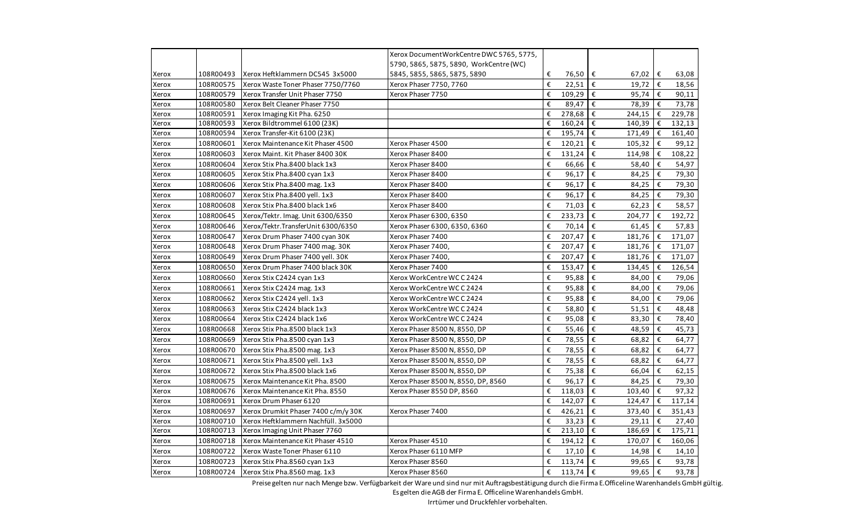|       |           |                                     | Xerox Document Work Centre DWC 5765, 5775, |   |            |                                  |   |        |
|-------|-----------|-------------------------------------|--------------------------------------------|---|------------|----------------------------------|---|--------|
|       |           |                                     | 5790, 5865, 5875, 5890, WorkCentre (WC)    |   |            |                                  |   |        |
| Xerox | 108R00493 | Xerox Heftklammern DC545 3x5000     | 5845, 5855, 5865, 5875, 5890               | € | 76,50      | €<br>67,02                       | € | 63,08  |
| Xerox | 108R00575 | Xerox Waste Toner Phaser 7750/7760  | Xerox Phaser 7750, 7760                    | € | 22,51      | €<br>19,72                       | € | 18,56  |
| Xerox | 108R00579 | Xerox Transfer Unit Phaser 7750     | Xerox Phaser 7750                          | € | 109,29     | €<br>95,74                       | € | 90,11  |
| Xerox | 108R00580 | Xerox Belt Cleaner Phaser 7750      |                                            | € | 89,47      | €<br>78,39                       | € | 73,78  |
| Xerox | 108R00591 | Xerox Imaging Kit Pha. 6250         |                                            | € | 278,68     | €<br>244,15                      | € | 229,78 |
| Xerox | 108R00593 | Xerox Bildtrommel 6100 (23K)        |                                            | € | 160,24     | €<br>140,39                      | € | 132,13 |
| Xerox | 108R00594 | Xerox Transfer-Kit 6100 (23K)       |                                            | € | 195,74     | €<br>171,49                      | € | 161,40 |
| Xerox | 108R00601 | Xerox Maintenance Kit Phaser 4500   | Xerox Phaser 4500                          | € | 120,21     | €<br>105,32                      | € | 99,12  |
| Xerox | 108R00603 | Xerox Maint. Kit Phaser 8400 30K    | Xerox Phaser 8400                          | € | 131,24     | €<br>114,98                      | € | 108,22 |
| Xerox | 108R00604 | Xerox Stix Pha.8400 black 1x3       | Xerox Phaser 8400                          | € | 66,66      | €<br>58,40                       | € | 54,97  |
| Xerox | 108R00605 | Xerox Stix Pha.8400 cyan 1x3        | Xerox Phaser 8400                          | € | 96,17      | €<br>84,25                       | € | 79,30  |
| Xerox | 108R00606 | Xerox Stix Pha.8400 mag. 1x3        | Xerox Phaser 8400                          | € | 96,17      | €<br>84,25                       | € | 79,30  |
| Xerox | 108R00607 | Xerox Stix Pha.8400 yell. 1x3       | Xerox Phaser 8400                          | € | 96,17      | €<br>84,25                       | € | 79,30  |
| Xerox | 108R00608 | Xerox Stix Pha.8400 black 1x6       | Xerox Phaser 8400                          | € | 71,03      | €<br>62,23                       | € | 58,57  |
| Xerox | 108R00645 | Xerox/Tektr. Imag. Unit 6300/6350   | Xerox Phaser 6300, 6350                    | € | 233,73     | €<br>204,77                      | € | 192,72 |
| Xerox | 108R00646 | Xerox/Tektr.TransferUnit 6300/6350  | Xerox Phaser 6300, 6350, 6360              | € | 70,14      | €<br>61,45                       | € | 57,83  |
| Xerox | 108R00647 | Xerox Drum Phaser 7400 cyan 30K     | Xerox Phaser 7400                          | € | 207,47     | €<br>181,76                      | € | 171,07 |
| Xerox | 108R00648 | Xerox Drum Phaser 7400 mag. 30K     | Xerox Phaser 7400,                         | € | 207,47     | €<br>181,76                      | € | 171,07 |
| Xerox | 108R00649 | Xerox Drum Phaser 7400 yell. 30K    | Xerox Phaser 7400,                         | € | 207,47     | €<br>181,76                      | € | 171,07 |
| Xerox | 108R00650 | Xerox Drum Phaser 7400 black 30K    | Xerox Phaser 7400                          | € | 153,47     | €<br>134,45                      | € | 126,54 |
| Xerox | 108R00660 | Xerox Stix C2424 cyan 1x3           | Xerox WorkCentre WCC2424                   | € | 95,88      | €<br>84,00                       | € | 79,06  |
| Xerox | 108R00661 | Xerox Stix C2424 mag. 1x3           | Xerox WorkCentre WCC 2424                  | € | 95,88      | €<br>84,00                       | € | 79,06  |
| Xerox | 108R00662 | Xerox Stix C2424 yell. 1x3          | Xerox WorkCentre WCC 2424                  | € | 95,88      | €<br>84,00                       | € | 79,06  |
| Xerox | 108R00663 | Xerox Stix C2424 black 1x3          | Xerox WorkCentre WC C 2424                 | € | 58,80      | €<br>51,51                       | € | 48,48  |
| Xerox | 108R00664 | Xerox Stix C2424 black 1x6          | Xerox WorkCentre WCC2424                   | € | 95,08      | €<br>83,30                       | € | 78,40  |
| Xerox | 108R00668 | Xerox Stix Pha.8500 black 1x3       | Xerox Phaser 8500 N, 8550, DP              | € | 55,46      | €<br>48,59                       | € | 45,73  |
| Xerox | 108R00669 | Xerox Stix Pha.8500 cyan 1x3        | Xerox Phaser 8500 N, 8550, DP              | € | 78,55      | $\boldsymbol{\epsilon}$<br>68,82 | € | 64,77  |
| Xerox | 108R00670 | Xerox Stix Pha.8500 mag. 1x3        | Xerox Phaser 8500 N, 8550, DP              | € | 78,55      | €<br>68,82                       | € | 64,77  |
| Xerox | 108R00671 | Xerox Stix Pha.8500 yell. 1x3       | Xerox Phaser 8500 N, 8550, DP              | € | 78,55      | €<br>68,82                       | € | 64,77  |
| Xerox | 108R00672 | Xerox Stix Pha.8500 black 1x6       | Xerox Phaser 8500 N, 8550, DP              | € | 75,38      | €<br>66,04                       | € | 62,15  |
| Xerox | 108R00675 | Xerox Maintenance Kit Pha. 8500     | Xerox Phaser 8500 N, 8550, DP, 8560        | € | 96,17      | €<br>84,25                       | € | 79,30  |
| Xerox | 108R00676 | Xerox Maintenance Kit Pha. 8550     | Xerox Phaser 8550 DP, 8560                 | € | 118,03     | €<br>103,40                      | € | 97,32  |
| Xerox | 108R00691 | Xerox Drum Phaser 6120              |                                            | € | 142,07     | €<br>124,47                      | € | 117,14 |
| Xerox | 108R00697 | Xerox Drumkit Phaser 7400 c/m/y 30K | Xerox Phaser 7400                          | € | 426,21     | €<br>373,40                      | € | 351,43 |
| Xerox | 108R00710 | Xerox Heftklammern Nachfüll. 3x5000 |                                            | € | 33,23      | €<br>29,11                       | € | 27,40  |
| Xerox | 108R00713 | Xerox Imaging Unit Phaser 7760      |                                            | € | 213,10     | €<br>186,69                      | € | 175,71 |
| Xerox | 108R00718 | Xerox Maintenance Kit Phaser 4510   | Xerox Phaser 4510                          | € | 194,12     | €<br>170,07                      | € | 160,06 |
| Xerox | 108R00722 | Xerox Waste Toner Phaser 6110       | Xerox Phaser 6110 MFP                      | € | 17,10      | €<br>14,98                       | € | 14,10  |
| Xerox | 108R00723 | Xerox Stix Pha.8560 cyan 1x3        | Xerox Phaser 8560                          | € | 113,74     | €<br>99,65                       | € | 93,78  |
| Xerox | 108R00724 | Xerox Stix Pha.8560 mag. 1x3        | Xerox Phaser 8560                          | € | $113,74$ € | 99,65                            | € | 93,78  |

Preise gelten nur nach Menge bzw. Verfügbarkeit der Ware und sind nur mit Auftragsbestätigung durch die Firma E.Officeline Warenhandels GmbH gültig.

Es gelten die AGB der Firma E. Officeline Warenhandels GmbH.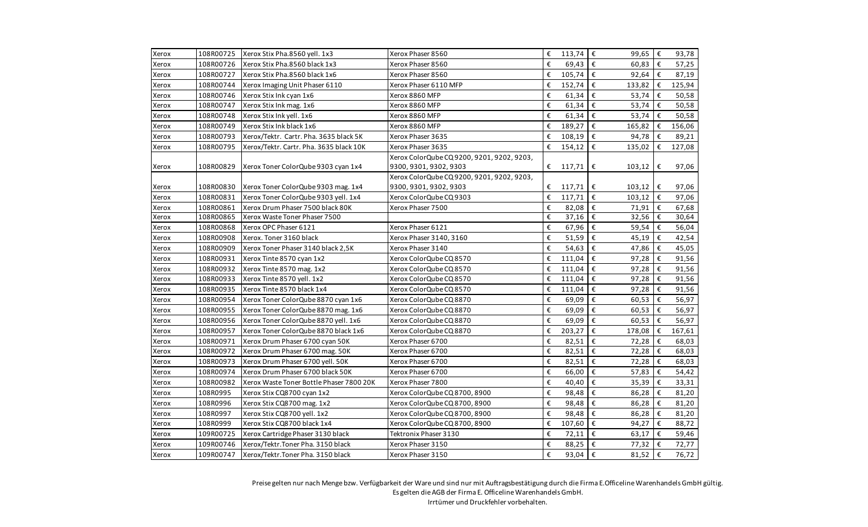| Xerox | 108R00725 | Xerox Stix Pha.8560 yell. 1x3            | Xerox Phaser 8560                         | € | 113,74 $\epsilon$           | 99,65                            | $\boldsymbol{\epsilon}$ | 93,78  |
|-------|-----------|------------------------------------------|-------------------------------------------|---|-----------------------------|----------------------------------|-------------------------|--------|
| Xerox | 108R00726 | Xerox Stix Pha.8560 black 1x3            | Xerox Phaser 8560                         | € | $69,43 \mid \epsilon$       | 60,83                            | €                       | 57,25  |
| Xerox | 108R00727 | Xerox Stix Pha.8560 black 1x6            | Xerox Phaser 8560                         | € | $105,74$ €                  | 92,64                            | €                       | 87,19  |
| Xerox | 108R00744 | Xerox Imaging Unit Phaser 6110           | Xerox Phaser 6110 MFP                     | € | 152,74                      | $\epsilon$<br>133,82             | €                       | 125,94 |
| Xerox | 108R00746 | Xerox Stix Ink cyan 1x6                  | Xerox 8860 MFP                            | € | 61,34                       | $\epsilon$<br>53,74              | €                       | 50,58  |
| Xerox | 108R00747 | Xerox Stix Ink mag. 1x6                  | Xerox 8860 MFP                            | € | 61,34                       | €<br>53,74                       | €                       | 50,58  |
| Xerox | 108R00748 | Xerox Stix Ink yell. 1x6                 | Xerox 8860 MFP                            | € | 61,34                       | €<br>53,74                       | €                       | 50,58  |
| Xerox | 108R00749 | Xerox Stix Ink black 1x6                 | Xerox 8860 MFP                            | € | 189,27                      | €<br>165,82                      | €                       | 156,06 |
| Xerox | 108R00793 | Xerox/Tektr. Cartr. Pha. 3635 black 5K   | Xerox Phaser 3635                         | € | $108,19$ $\varepsilon$      | 94,78                            | €                       | 89,21  |
| Xerox | 108R00795 | Xerox/Tektr. Cartr. Pha. 3635 black 10K  | Xerox Phaser 3635                         | € | 154,12                      | €<br>135,02                      | €                       | 127,08 |
|       |           |                                          | Xerox ColorQube CQ9200, 9201, 9202, 9203, |   |                             |                                  |                         |        |
| Xerox | 108R00829 | Xerox Toner ColorQube 9303 cyan 1x4      | 9300, 9301, 9302, 9303                    | € | 117,71                      | €<br>103,12                      | €                       | 97,06  |
|       |           |                                          | Xerox ColorQube CQ9200, 9201, 9202, 9203, |   |                             |                                  |                         |        |
| Xerox | 108R00830 | Xerox Toner ColorQube 9303 mag. 1x4      | 9300, 9301, 9302, 9303                    | € | $117,71$   €                | 103,12                           | €                       | 97,06  |
| Xerox | 108R00831 | Xerox Toner ColorQube 9303 yell. 1x4     | Xerox ColorQube CQ 9303                   | € | 117,71                      | €<br>103,12                      | €                       | 97,06  |
| Xerox | 108R00861 | Xerox Drum Phaser 7500 black 80K         | Xerox Phaser 7500                         | € | 82,08 $\varepsilon$         | 71,91                            | €                       | 67,68  |
| Xerox | 108R00865 | Xerox Waste Toner Phaser 7500            |                                           | € | 37,16 $\overline{\epsilon}$ | 32,56                            | €                       | 30,64  |
| Xerox | 108R00868 | Xerox OPC Phaser 6121                    | Xerox Phaser 6121                         | € | 67,96                       | €<br>59,54                       | €                       | 56,04  |
| Xerox | 108R00908 | Xerox. Toner 3160 black                  | Xerox Phaser 3140, 3160                   | € | 51,59                       | €<br>45,19                       | €                       | 42,54  |
| Xerox | 108R00909 | Xerox Toner Phaser 3140 black 2,5K       | Xerox Phaser 3140                         | € | 54,63                       | $\boldsymbol{\epsilon}$<br>47,86 | €                       | 45,05  |
| Xerox | 108R00931 | Xerox Tinte 8570 cyan 1x2                | Xerox ColorQube CQ 8570                   | € | 111,04                      | $\epsilon$<br>97,28              | €                       | 91,56  |
| Xerox | 108R00932 | Xerox Tinte 8570 mag. 1x2                | Xerox ColorQube CQ 8570                   | € | 111,04                      | €<br>97,28                       | €                       | 91,56  |
| Xerox | 108R00933 | Xerox Tinte 8570 yell. 1x2               | Xerox ColorQube CQ 8570                   | € | 111,04                      | $\boldsymbol{\epsilon}$<br>97,28 | €                       | 91,56  |
| Xerox | 108R00935 | Xerox Tinte 8570 black 1x4               | Xerox ColorQube CQ 8570                   | € | 111,04                      | €<br>97,28                       | €                       | 91,56  |
| Xerox | 108R00954 | Xerox Toner ColorQube 8870 cyan 1x6      | Xerox ColorQube CQ 8870                   | € | 69,09                       | $\epsilon$<br>60,53              | €                       | 56,97  |
| Xerox | 108R00955 | Xerox Toner ColorQube 8870 mag. 1x6      | Xerox ColorQube CQ 8870                   | € | 69,09                       | €<br>60,53                       | €                       | 56,97  |
| Xerox | 108R00956 | Xerox Toner ColorQube 8870 yell. 1x6     | Xerox ColorQube CQ 8870                   | € | 69,09                       | €<br>60,53                       | €                       | 56,97  |
| Xerox | 108R00957 | Xerox Toner ColorQube 8870 black 1x6     | Xerox ColorQube CQ 8870                   | € | 203,27                      | €<br>178,08                      | €                       | 167,61 |
| Xerox | 108R00971 | Xerox Drum Phaser 6700 cyan 50K          | Xerox Phaser 6700                         | € | 82,51                       | €<br>72,28                       | €                       | 68,03  |
| Xerox | 108R00972 | Xerox Drum Phaser 6700 mag. 50K          | Xerox Phaser 6700                         | € | 82,51                       | €<br>72,28                       | €                       | 68,03  |
| Xerox | 108R00973 | Xerox Drum Phaser 6700 yell. 50K         | Xerox Phaser 6700                         | € | 82,51                       | $\epsilon$<br>72,28              | €                       | 68,03  |
| Xerox | 108R00974 | Xerox Drum Phaser 6700 black 50K         | Xerox Phaser 6700                         | € | 66,00 €                     | 57,83                            | €                       | 54,42  |
| Xerox | 108R00982 | Xerox Waste Toner Bottle Phaser 7800 20K | Xerox Phaser 7800                         | € | 40,40                       | €<br>35,39                       | €                       | 33,31  |
| Xerox | 108R0995  | Xerox Stix CQ8700 cyan 1x2               | Xerox ColorQube CQ 8700, 8900             | € | 98,48                       | €<br>86,28                       | €                       | 81,20  |
| Xerox | 108R0996  | Xerox Stix CQ8700 mag. 1x2               | Xerox ColorQube CQ 8700, 8900             | € | 98,48                       | €<br>86,28                       | €                       | 81,20  |
| Xerox | 108R0997  | Xerox Stix CQ8700 yell. 1x2              | Xerox ColorQube CQ 8700, 8900             | € | 98,48                       | €<br>86,28                       | €                       | 81,20  |
| Xerox | 108R0999  | Xerox Stix CQ8700 black 1x4              | Xerox ColorQube CQ 8700, 8900             | € | 107,60                      | €<br>94,27                       | €                       | 88,72  |
| Xerox | 109R00725 | Xerox Cartridge Phaser 3130 black        | Tektronix Phaser 3130                     | € | 72,11                       | $\epsilon$<br>63,17              | €                       | 59,46  |
| Xerox | 109R00746 | Xerox/Tektr.Toner Pha. 3150 black        | Xerox Phaser 3150                         | € | 88,25                       | €<br>77,32                       | €                       | 72,77  |
| Xerox | 109R00747 | Xerox/Tektr.Toner Pha. 3150 black        | Xerox Phaser 3150                         | € | 93,04 €                     | 81,52                            | $\epsilon$              | 76,72  |
|       |           |                                          |                                           |   |                             |                                  |                         |        |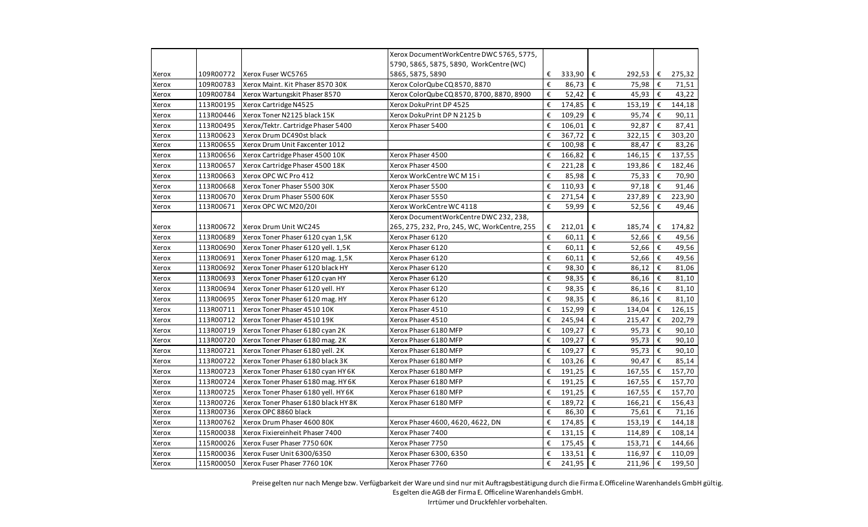|       |           |                                     | Xerox Document Work Centre DWC 5765, 5775,<br>5790, 5865, 5875, 5890, WorkCentre (WC) |   |                              |                                   |    |        |
|-------|-----------|-------------------------------------|---------------------------------------------------------------------------------------|---|------------------------------|-----------------------------------|----|--------|
| Xerox | 109R00772 | Xerox Fuser WC5765                  | 5865, 5875, 5890                                                                      | € | 333,90 $\epsilon$            | 292,53                            | €  | 275,32 |
| Xerox | 109R00783 | Xerox Maint, Kit Phaser 8570 30K    | Xerox ColorQube CQ 8570, 8870                                                         | € | 86,73                        | l€<br>75,98                       | €  | 71,51  |
| Xerox | 109R00784 | Xerox Wartungskit Phaser 8570       | Xerox ColorQube CQ 8570, 8700, 8870, 8900                                             | € | 52,42                        | $\epsilon$<br>45,93               | €  | 43,22  |
| Xerox | 113R00195 | Xerox Cartridge N4525               | Xerox DokuPrint DP 4525                                                               | € | 174,85 $\epsilon$            | 153,19                            | €  | 144,18 |
| Xerox | 113R00446 | Xerox Toner N2125 black 15K         | Xerox DokuPrint DP N 2125 b                                                           | € | 109,29                       | €<br>95,74                        | €  | 90,11  |
| Xerox | 113R00495 | Xerox/Tektr. Cartridge Phaser 5400  | Xerox Phaser 5400                                                                     | € | 106,01                       | $\overline{\epsilon}$<br>92,87    | €  | 87,41  |
| Xerox | 113R00623 | Xerox Drum DC490st black            |                                                                                       | € | 367,72 $\overline{\epsilon}$ | 322,15                            | €  | 303,20 |
| Xerox | 113R00655 | Xerox Drum Unit Faxcenter 1012      |                                                                                       | € | 100,98                       | ∣€<br>88,47                       | €  | 83,26  |
| Xerox | 113R00656 | Xerox Cartridge Phaser 4500 10K     | Xerox Phaser 4500                                                                     | € | 166,82 €                     | 146,15                            | €  | 137,55 |
| Xerox | 113R00657 | Xerox Cartridge Phaser 4500 18K     | Xerox Phaser 4500                                                                     | € | 221,28 $\epsilon$            | 193,86                            | €  | 182,46 |
| Xerox | 113R00663 | Xerox OPC WC Pro 412                | Xerox WorkCentre WCM15i                                                               | € | 85,98 €                      | 75,33                             | €  | 70,90  |
| Xerox | 113R00668 | Xerox Toner Phaser 5500 30K         | Xerox Phaser 5500                                                                     | € | 110,93                       | $\epsilon$<br>97,18               | €  | 91,46  |
| Xerox | 113R00670 | Xerox Drum Phaser 5500 60K          | Xerox Phaser 5550                                                                     | € | 271,54                       | $\epsilon$<br>237,89              | €  | 223,90 |
| Xerox | 113R00671 | Xerox OPC WC M20/201                | Xerox WorkCentre WC 4118                                                              | € | 59,99                        | €<br>52,56                        | €  | 49,46  |
|       |           |                                     | Xerox DocumentWorkCentre DWC 232, 238,                                                |   |                              |                                   |    |        |
| Xerox | 113R00672 | Xerox Drum Unit WC245               | 265, 275, 232, Pro, 245, WC, WorkCentre, 255                                          | € | $212,01$ €                   | 185,74                            | €  | 174,82 |
| Xerox | 113R00689 | Xerox Toner Phaser 6120 cyan 1,5K   | Xerox Phaser 6120                                                                     | € | 60,11                        | I€<br>52,66                       | €  | 49,56  |
| Xerox | 113R00690 | Xerox Toner Phaser 6120 yell. 1,5K  | Xerox Phaser 6120                                                                     | € | 60,11                        | $\epsilon$<br>52,66               | €  | 49,56  |
| Xerox | 113R00691 | Xerox Toner Phaser 6120 mag. 1,5K   | Xerox Phaser 6120                                                                     | € | 60,11 $\epsilon$             | 52,66                             | €  | 49,56  |
| Xerox | 113R00692 | Xerox Toner Phaser 6120 black HY    | Xerox Phaser 6120                                                                     | € | 98,30                        | €<br>86,12                        | €  | 81,06  |
| Xerox | 113R00693 | Xerox Toner Phaser 6120 cyan HY     | Xerox Phaser 6120                                                                     | € | 98,35                        | $\epsilon$<br>86,16               | €  | 81,10  |
| Xerox | 113R00694 | Xerox Toner Phaser 6120 yell. HY    | Xerox Phaser 6120                                                                     | € | 98,35 €                      | 86,16                             | €  | 81,10  |
| Xerox | 113R00695 | Xerox Toner Phaser 6120 mag. HY     | Xerox Phaser 6120                                                                     | € | 98,35                        | $\epsilon$<br>86,16               | €  | 81,10  |
| Xerox | 113R00711 | Xerox Toner Phaser 4510 10K         | Xerox Phaser 4510                                                                     | € | 152,99                       | €<br>134,04                       | €  | 126,15 |
| Xerox | 113R00712 | Xerox Toner Phaser 4510 19K         | Xerox Phaser 4510                                                                     | € | 245,94 $\epsilon$            | 215,47                            | €  | 202,79 |
| Xerox | 113R00719 | Xerox Toner Phaser 6180 cyan 2K     | Xerox Phaser 6180 MFP                                                                 | € | 109,27                       | €<br>95,73                        | €  | 90,10  |
| Xerox | 113R00720 | Xerox Toner Phaser 6180 mag. 2K     | Xerox Phaser 6180 MFP                                                                 | € | 109,27                       | $\epsilon$<br>95,73               | €  | 90,10  |
| Xerox | 113R00721 | Xerox Toner Phaser 6180 yell. 2K    | Xerox Phaser 6180 MFP                                                                 | € | 109,27                       | $\mathbf{f}$<br>95,73             | €  | 90,10  |
| Xerox | 113R00722 | Xerox Toner Phaser 6180 black 3K    | Xerox Phaser 6180 MFP                                                                 | € | 103,26                       | l€<br>90,47                       | €  | 85,14  |
| Xerox | 113R00723 | Xerox Toner Phaser 6180 cyan HY 6K  | Xerox Phaser 6180 MFP                                                                 | € | 191,25                       | $\epsilon$<br>167,55              | €  | 157,70 |
| Xerox | 113R00724 | Xerox Toner Phaser 6180 mag. HY 6K  | Xerox Phaser 6180 MFP                                                                 | € | 191,25 €                     | 167,55                            | €  | 157,70 |
| Xerox | 113R00725 | Xerox Toner Phaser 6180 yell. HY 6K | Xerox Phaser 6180 MFP                                                                 | € | 191,25                       | $\epsilon$<br>167,55              | €  | 157,70 |
| Xerox | 113R00726 | Xerox Toner Phaser 6180 black HY 8K | Xerox Phaser 6180 MFP                                                                 | € | 189,72                       | $\epsilon$<br>166,21              | €  | 156,43 |
| Xerox | 113R00736 | Xerox OPC 8860 black                |                                                                                       | € | 86,30                        | $\mathbf{f}$<br>75,61             | €  | 71,16  |
| Xerox | 113R00762 | Xerox Drum Phaser 4600 80K          | Xerox Phaser 4600, 4620, 4622, DN                                                     | € | 174,85                       | $\boldsymbol{\epsilon}$<br>153,19 | €  | 144,18 |
| Xerox | 115R00038 | Xerox Fixiereinheit Phaser 7400     | Xerox Phaser 7400                                                                     | € | 131,15                       | $\epsilon$<br>114,89              | €  | 108,14 |
| Xerox | 115R00026 | Xerox Fuser Phaser 7750 60K         | Xerox Phaser 7750                                                                     | € | $175,45$ €                   | 153,71                            | €  | 144,66 |
| Xerox | 115R00036 | Xerox Fuser Unit 6300/6350          | Xerox Phaser 6300, 6350                                                               | € | 133,51 $\epsilon$            | 116,97                            | €  | 110,09 |
| Xerox | 115R00050 | Xerox Fuser Phaser 7760 10K         | Xerox Phaser 7760                                                                     | € | $241,95$ €                   | 211,96                            | ∣€ | 199,50 |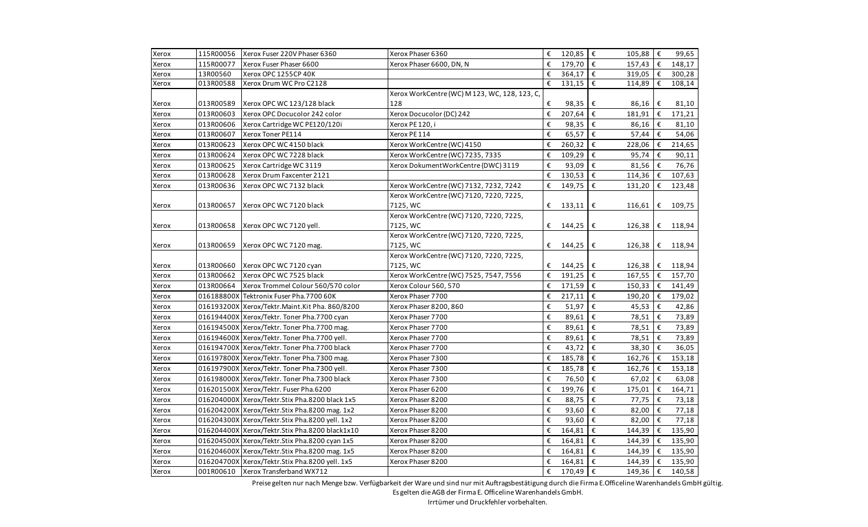| Xerox | 115R00056  | Xerox Fuser 220V Phaser 6360                   | Xerox Phaser 6360                             | €                       | 120,85 $\epsilon$   | 105,88                           | €          | 99,65    |
|-------|------------|------------------------------------------------|-----------------------------------------------|-------------------------|---------------------|----------------------------------|------------|----------|
| Xerox | 115R00077  | Xerox Fuser Phaser 6600                        | Xerox Phaser 6600, DN, N                      | €                       | $179,70$ €          | 157,43                           | €          | 148,17   |
| Xerox | 13R00560   | Xerox OPC 1255CP 40K                           |                                               | €                       | $364,17$ €          | 319,05                           | €          | 300,28   |
| Xerox | 013R00588  | Xerox Drum WC Pro C2128                        |                                               | €                       | 131,15              | €<br>114,89                      | €          | 108,14   |
|       |            |                                                | Xerox WorkCentre (WC) M 123, WC, 128, 123, C, |                         |                     |                                  |            |          |
| Xerox | 013R00589  | Xerox OPC WC 123/128 black                     | 128                                           | €                       | 98,35               | €<br>86,16                       | €          | 81,10    |
| Xerox | 013R00603  | Xerox OPC Docucolor 242 color                  | Xerox Docucolor (DC) 242                      | €                       | 207,64              | €<br>181,91                      | €          | 171,21   |
| Xerox | 013R00606  | Xerox Cartridge WC PE120/120i                  | Xerox PE 120, i                               | €                       | 98,35               | €<br>86,16                       | €          | 81,10    |
| Xerox | 013R00607  | Xerox Toner PE114                              | Xerox PE 114                                  | €                       | 65,57 $\epsilon$    | 57,44                            | €          | 54,06    |
| Xerox | 013R00623  | Xerox OPC WC 4150 black                        | Xerox WorkCentre (WC) 4150                    | €                       | 260,32 $\epsilon$   | 228,06                           | €          | 214,65   |
| Xerox | 013R00624  | Xerox OPC WC 7228 black                        | Xerox WorkCentre (WC) 7235, 7335              | €                       | $109,29$ €          | 95,74                            | €          | 90,11    |
| Xerox | 013R00625  | Xerox Cartridge WC 3119                        | Xerox DokumentWorkCentre (DWC) 3119           | €                       | 93,09 $\varepsilon$ | 81,56                            | €          | 76,76    |
| Xerox | 013R00628  | Xerox Drum Faxcenter 2121                      |                                               | €                       | 130,53 $\epsilon$   | 114,36                           | €          | 107,63   |
| Xerox | 013R00636  | Xerox OPC WC 7132 black                        | Xerox WorkCentre (WC) 7132, 7232, 7242        | €                       | 149,75              | €<br>131,20                      | €          | 123,48   |
|       |            |                                                | Xerox WorkCentre (WC) 7120, 7220, 7225,       |                         |                     |                                  |            |          |
| Xerox | 013R00657  | Xerox OPC WC 7120 black                        | 7125, WC                                      |                         | € $133,11$          | €<br>116,61                      |            | € 109,75 |
|       |            |                                                | Xerox WorkCentre (WC) 7120, 7220, 7225,       |                         |                     |                                  |            |          |
| Xerox | 013R00658  | Xerox OPC WC 7120 yell.                        | 7125, WC                                      | €                       | 144,25              | €<br>126,38                      | €          | 118,94   |
|       |            |                                                | Xerox WorkCentre (WC) 7120, 7220, 7225,       |                         |                     |                                  |            |          |
| Xerox | 013R00659  | Xerox OPC WC 7120 mag.                         | 7125, WC                                      | €                       | 144,25              | €<br>126,38                      | €          | 118,94   |
|       |            |                                                | Xerox WorkCentre (WC) 7120, 7220, 7225,       |                         |                     |                                  |            |          |
| Xerox | 013R00660  | Xerox OPC WC 7120 cyan                         | 7125, WC                                      | €                       | 144,25              | €<br>126,38                      | €          | 118,94   |
| Xerox | 013R00662  | Xerox OPC WC 7525 black                        | Xerox WorkCentre (WC) 7525, 7547, 7556        | €                       | $191,25$ €          | 167,55                           | $\epsilon$ | 157,70   |
| Xerox | 013R00664  | Xerox Trommel Colour 560/570 color             | Xerox Colour 560, 570                         | €                       | 171,59 $\epsilon$   | 150,33                           | €          | 141,49   |
| Xerox | 016188800X | Tektronix Fuser Pha.7700 60K                   | Xerox Phaser 7700                             | €                       | 217,11              | €<br>190,20                      | €          | 179,02   |
| Xerox |            | 016193200X Xerox/Tektr.Maint.Kit Pha. 860/8200 | Xerox Phaser 8200, 860                        | €                       | 51,97               | €<br>45,53                       | €          | 42,86    |
| Xerox |            | 016194400X Xerox/Tektr. Toner Pha.7700 cyan    | Xerox Phaser 7700                             | $\boldsymbol{\epsilon}$ | 89,61               | $\epsilon$<br>78,51              | €          | 73,89    |
| Xerox |            | 016194500X Xerox/Tektr. Toner Pha.7700 mag.    | Xerox Phaser 7700                             | €                       | 89,61               | $\epsilon$<br>78,51              | €          | 73,89    |
| Xerox |            | 016194600X Xerox/Tektr. Toner Pha.7700 yell.   | Xerox Phaser 7700                             | €                       | 89,61               | $\boldsymbol{\epsilon}$<br>78,51 | €          | 73,89    |
| Xerox |            | 016194700X Xerox/Tektr. Toner Pha.7700 black   | Xerox Phaser 7700                             | €                       | 43,72               | €<br>38,30                       | €          | 36,05    |
| Xerox |            | 016197800X Xerox/Tektr. Toner Pha.7300 mag.    | Xerox Phaser 7300                             | €                       | 185,78              | €<br>162,76                      | €          | 153,18   |
| Xerox |            | 016197900X Xerox/Tektr. Toner Pha.7300 yell.   | Xerox Phaser 7300                             | €                       | 185,78              | $\epsilon$<br>162,76             | €          | 153,18   |
| Xerox |            | 016198000X Xerox/Tektr. Toner Pha.7300 black   | Xerox Phaser 7300                             | €                       | 76,50 €             | 67,02                            | €          | 63,08    |
| Xerox |            | 016201500X Xerox/Tektr. Fuser Pha.6200         | Xerox Phaser 6200                             | €                       | 199,76              | $\epsilon$<br>175,01             | €          | 164,71   |
| Xerox |            | 016204000X Xerox/Tektr.Stix Pha.8200 black 1x5 | Xerox Phaser 8200                             | €                       | 88,75               | €<br>77,75                       | €          | 73,18    |
| Xerox |            | 016204200X Xerox/Tektr.Stix Pha.8200 mag. 1x2  | Xerox Phaser 8200                             | €                       | 93,60               | €<br>82,00                       | €          | 77,18    |
| Xerox |            | 016204300X Xerox/Tektr.Stix Pha.8200 yell. 1x2 | Xerox Phaser 8200                             | €                       | 93,60               | $\epsilon$<br>82,00              | €          | 77,18    |
| Xerox |            | 016204400X Xerox/Tektr.Stix Pha.8200 black1x10 | Xerox Phaser 8200                             | €                       | 164,81              | $\epsilon$<br>144,39             | €          | 135,90   |
| Xerox |            | 016204500X Xerox/Tektr.Stix Pha.8200 cyan 1x5  | Xerox Phaser 8200                             | €                       | 164,81              | €<br>144,39                      | €          | 135,90   |
| Xerox |            | 016204600X Xerox/Tektr.Stix Pha.8200 mag. 1x5  | Xerox Phaser 8200                             | €                       | 164,81              | €<br>144,39                      | €          | 135,90   |
| Xerox |            | 016204700X Xerox/Tektr.Stix Pha.8200 yell. 1x5 | Xerox Phaser 8200                             | €                       | 164,81              | €<br>144,39                      | €          | 135,90   |
| Xerox |            | 001R00610 Xerox Transferband WX712             |                                               | €                       | 170,49 €            | 149,36                           | €          | 140,58   |
|       |            |                                                |                                               |                         |                     |                                  |            |          |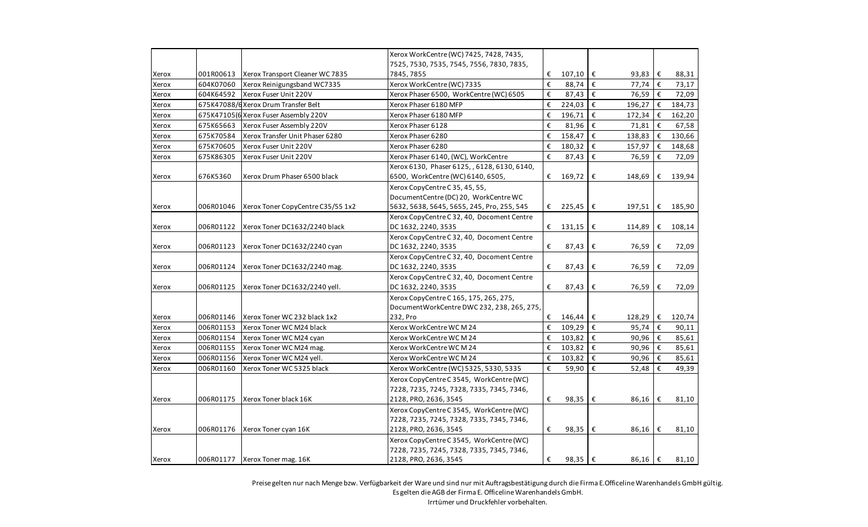|       |           |                                       | Xerox WorkCentre (WC) 7425, 7428, 7435,      |   |                        |            |                  |            |        |
|-------|-----------|---------------------------------------|----------------------------------------------|---|------------------------|------------|------------------|------------|--------|
|       |           |                                       | 7525, 7530, 7535, 7545, 7556, 7830, 7835,    |   |                        |            |                  |            |        |
| Xerox | 001R00613 | Xerox Transport Cleaner WC 7835       | 7845,7855                                    | € | $107,10$ $\in$         |            | 93,83            | €          | 88,31  |
| Xerox | 604K07060 | Xerox Reinigungsband WC7335           | Xerox WorkCentre (WC) 7335                   | € | 88,74 €                |            | 77,74            | $\epsilon$ | 73,17  |
| Xerox | 604K64592 | Xerox Fuser Unit 220V                 | Xerox Phaser 6500, WorkCentre (WC) 6505      | € | 87,43 $\epsilon$       |            | 76,59            | €          | 72,09  |
| Xerox |           | 675K47088/6 Xerox Drum Transfer Belt  | Xerox Phaser 6180 MFP                        | € | 224,03                 | $\epsilon$ | 196,27           | €          | 184,73 |
| Xerox |           | 675K47105(6 Xerox Fuser Assembly 220V | Xerox Phaser 6180 MFP                        | € | $196,71$ €             |            | 172,34           | €          | 162,20 |
| Xerox | 675K65663 | Xerox Fuser Assembly 220V             | Xerox Phaser 6128                            | € | 81,96 $\varepsilon$    |            | 71,81            | €          | 67,58  |
| Xerox | 675K70584 | Xerox Transfer Unit Phaser 6280       | Xerox Phaser 6280                            | € | 158,47                 | $\epsilon$ | 138,83           | €          | 130,66 |
| Xerox | 675K70605 | Xerox Fuser Unit 220V                 | Xerox Phaser 6280                            | € | 180,32 €               |            | 157,97           | €          | 148,68 |
| Xerox | 675K86305 | Xerox Fuser Unit 220V                 | Xerox Phaser 6140, (WC), WorkCentre          | € | 87,43 $\epsilon$       |            | 76,59            | €          | 72,09  |
|       |           |                                       | Xerox 6130, Phaser 6125, , 6128, 6130, 6140, |   |                        |            |                  |            |        |
| Xerox | 676K5360  | Xerox Drum Phaser 6500 black          | 6500, WorkCentre (WC) 6140, 6505,            | € | $169,72 \in$           |            | 148,69           | €          | 139,94 |
|       |           |                                       | Xerox CopyCentre C 35, 45, 55,               |   |                        |            |                  |            |        |
|       |           |                                       | DocumentCentre (DC) 20, WorkCentre WC        |   |                        |            |                  |            |        |
| Xerox | 006R01046 | Xerox Toner CopyCentre C35/55 1x2     | 5632, 5638, 5645, 5655, 245, Pro, 255, 545   | € | $225,45$ €             |            | 197,51           | ∣€         | 185,90 |
|       |           |                                       | Xerox CopyCentre C 32, 40, Docoment Centre   |   |                        |            |                  |            |        |
| Xerox | 006R01122 | Xerox Toner DC1632/2240 black         | DC 1632, 2240, 3535                          | € | 131,15 $\epsilon$      |            | 114,89           | €          | 108,14 |
|       |           |                                       | Xerox CopyCentre C 32, 40, Docoment Centre   |   |                        |            |                  |            |        |
| Xerox | 006R01123 | Xerox Toner DC1632/2240 cyan          | DC 1632, 2240, 3535                          | € | 87,43 $\epsilon$       |            | 76,59            | €          | 72,09  |
|       |           |                                       | Xerox CopyCentre C 32, 40, Docoment Centre   |   |                        |            |                  |            |        |
| Xerox | 006R01124 | Xerox Toner DC1632/2240 mag.          | DC 1632, 2240, 3535                          | € | 87,43                  | €          | 76,59            | €          | 72,09  |
|       |           |                                       | Xerox CopyCentre C 32, 40, Docoment Centre   |   |                        |            |                  |            |        |
| Xerox | 006R01125 | Xerox Toner DC1632/2240 yell.         | DC 1632, 2240, 3535                          | € | 87,43                  | €          | 76,59            | €          | 72,09  |
|       |           |                                       | Xerox CopyCentre C 165, 175, 265, 275,       |   |                        |            |                  |            |        |
|       |           |                                       | DocumentWorkCentre DWC 232, 238, 265, 275,   |   |                        |            |                  |            |        |
| Xerox | 006R01146 | Xerox Toner WC 232 black 1x2          | 232, Pro                                     | € | $146,44$ €             |            | 128,29           | €          | 120,74 |
| Xerox | 006R01153 | Xerox Toner WC M24 black              | Xerox WorkCentre WC M 24                     | € | $109,29$ €             |            | 95,74            | €          | 90,11  |
| Xerox | 006R01154 | Xerox Toner WC M24 cyan               | Xerox WorkCentre WCM24                       | € | 103,82 $\epsilon$      |            | 90,96            | €          | 85,61  |
| Xerox | 006R01155 | Xerox Toner WC M24 mag.               | Xerox WorkCentre WC M 24                     | € | $103,82$ $\varepsilon$ |            | 90,96            | €          | 85,61  |
| Xerox | 006R01156 | Xerox Toner WC M24 yell.              | Xerox WorkCentre WCM24                       | € | $103,82$ $\varepsilon$ |            | 90,96            | €          | 85,61  |
| Xerox | 006R01160 | Xerox Toner WC 5325 black             | Xerox WorkCentre (WC) 5325, 5330, 5335       | € | 59,90 €                |            | 52,48            | €          | 49,39  |
|       |           |                                       | Xerox CopyCentre C 3545, WorkCentre (WC)     |   |                        |            |                  |            |        |
|       |           |                                       | 7228, 7235, 7245, 7328, 7335, 7345, 7346,    |   |                        |            |                  |            |        |
| Xerox | 006R01175 | Xerox Toner black 16K                 | 2128, PRO, 2636, 3545                        | € | 98,35 €                |            | 86,16            | €          | 81,10  |
|       |           |                                       | Xerox CopyCentre C 3545, WorkCentre (WC)     |   |                        |            |                  |            |        |
|       |           |                                       | 7228, 7235, 7245, 7328, 7335, 7345, 7346,    |   |                        |            |                  |            |        |
| Xerox | 006R01176 | Xerox Toner cyan 16K                  | 2128, PRO, 2636, 3545                        | € | 98,35 €                |            | 86,16            | €          | 81,10  |
|       |           |                                       | Xerox CopyCentre C 3545, WorkCentre (WC)     |   |                        |            |                  |            |        |
|       |           |                                       | 7228, 7235, 7245, 7328, 7335, 7345, 7346,    |   |                        |            |                  |            |        |
| Xerox |           | 006R01177 Xerox Toner mag. 16K        | 2128, PRO, 2636, 3545                        | € | 98,35 €                |            | 86,16 $\epsilon$ |            | 81,10  |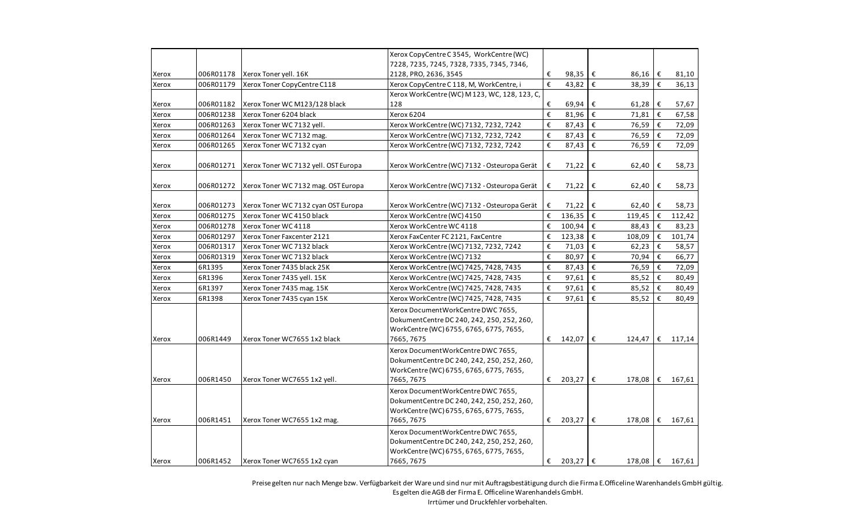|       |           |                                      | Xerox CopyCentre C 3545, WorkCentre (WC)                                                                                                   |                         |                      |                   |   |                 |
|-------|-----------|--------------------------------------|--------------------------------------------------------------------------------------------------------------------------------------------|-------------------------|----------------------|-------------------|---|-----------------|
|       |           |                                      | 7228, 7235, 7245, 7328, 7335, 7345, 7346,                                                                                                  |                         |                      |                   |   |                 |
| Xerox | 006R01178 | Xerox Toner yell. 16K                | 2128, PRO, 2636, 3545                                                                                                                      | €                       | 98,35 €              | 86,16             | € | 81,10           |
| Xerox | 006R01179 | Xerox Toner CopyCentre C118          | Xerox CopyCentre C 118, M, WorkCentre, i                                                                                                   | $\boldsymbol{\epsilon}$ | 43,82 $\epsilon$     | 38,39             | € | 36,13           |
|       |           |                                      | Xerox WorkCentre (WC) M 123, WC, 128, 123, C,                                                                                              |                         |                      |                   |   |                 |
| Xerox | 006R01182 | Xerox Toner WC M123/128 black        | 128                                                                                                                                        | €                       | 69,94 €              | 61,28             | € | 57,67           |
| Xerox | 006R01238 | Xerox Toner 6204 black               | Xerox 6204                                                                                                                                 | €                       | 81,96 $\varepsilon$  | 71,81             | € | 67,58           |
| Xerox | 006R01263 | Xerox Toner WC 7132 yell.            | Xerox WorkCentre (WC) 7132, 7232, 7242                                                                                                     | $\boldsymbol{\epsilon}$ | 87,43 €              | 76,59             | € | 72,09           |
| Xerox | 006R01264 | Xerox Toner WC 7132 mag.             | Xerox WorkCentre (WC) 7132, 7232, 7242                                                                                                     | €                       | 87,43 $\xi$          | 76,59             | € | 72,09           |
| Xerox | 006R01265 | Xerox Toner WC 7132 cyan             | Xerox WorkCentre (WC) 7132, 7232, 7242                                                                                                     | €                       | 87,43 $\epsilon$     | 76,59             | € | 72,09           |
|       |           |                                      |                                                                                                                                            |                         |                      |                   |   |                 |
| Xerox | 006R01271 | Xerox Toner WC 7132 yell. OST Europa | Xerox WorkCentre (WC) 7132 - Osteuropa Gerät                                                                                               | €                       | 71,22                | €<br>62,40        | € | 58,73           |
| Xerox | 006R01272 | Xerox Toner WC 7132 mag. OST Europa  | Xerox WorkCentre (WC) 7132 - Osteuropa Gerät                                                                                               | €                       | 71,22                | €<br>62,40        | € | 58,73           |
| Xerox | 006R01273 | Xerox Toner WC 7132 cyan OST Europa  | Xerox WorkCentre (WC) 7132 - Osteuropa Gerät                                                                                               | €                       | $71,22$   €          | 62,40             | € | 58,73           |
| Xerox | 006R01275 | Xerox Toner WC 4150 black            | Xerox WorkCentre (WC) 4150                                                                                                                 | €                       | 136,35 $\epsilon$    | 119,45 $\epsilon$ |   | 112,42          |
| Xerox | 006R01278 | Xerox Toner WC 4118                  | Xerox WorkCentre WC 4118                                                                                                                   | €                       | $100,94$ $\in$       | 88,43             | € | 83,23           |
| Xerox | 006R01297 | Xerox Toner Faxcenter 2121           | Xerox FaxCenter FC 2121, FaxCentre                                                                                                         | €                       | 123,38 $\varepsilon$ | 108,09            | € | 101,74          |
| Xerox | 006R01317 | Xerox Toner WC 7132 black            | Xerox WorkCentre (WC) 7132, 7232, 7242                                                                                                     | €                       | 71,03 $\varepsilon$  | 62,23             | € | 58,57           |
| Xerox | 006R01319 | Xerox Toner WC 7132 black            | Xerox WorkCentre (WC) 7132                                                                                                                 | €                       | 80,97                | €<br>70,94        | € | 66,77           |
| Xerox | 6R1395    | Xerox Toner 7435 black 25K           | Xerox WorkCentre (WC) 7425, 7428, 7435                                                                                                     | €                       | 87,43                | €<br>76,59        | € | 72,09           |
| Xerox | 6R1396    | Xerox Toner 7435 yell. 15K           | Xerox WorkCentre (WC) 7425, 7428, 7435                                                                                                     | €                       | 97,61                | l€<br>85,52       | € | 80,49           |
| Xerox | 6R1397    | Xerox Toner 7435 mag. 15K            | Xerox WorkCentre (WC) 7425, 7428, 7435                                                                                                     | €                       | 97,61 $\epsilon$     | 85,52             | € | 80,49           |
| Xerox | 6R1398    | Xerox Toner 7435 cyan 15K            | Xerox WorkCentre (WC) 7425, 7428, 7435                                                                                                     | €                       | 97,61 $\epsilon$     | 85,52             | € | 80,49           |
| Xerox | 006R1449  | Xerox Toner WC7655 1x2 black         | Xerox DocumentWorkCentre DWC 7655,<br>Dokument Centre DC 240, 242, 250, 252, 260,<br>WorkCentre (WC) 6755, 6765, 6775, 7655,<br>7665,7675  | €                       | 142,07 €             | 124,47            | € | 117,14          |
| Xerox | 006R1450  | Xerox Toner WC7655 1x2 yell.         | Xerox DocumentWorkCentre DWC 7655,<br>Dokument Centre DC 240, 242, 250, 252, 260,<br>WorkCentre (WC) 6755, 6765, 6775, 7655,<br>7665,7675  |                         | € 203,27 $\epsilon$  | 178,08 €          |   | 167,61          |
| Xerox | 006R1451  | Xerox Toner WC7655 1x2 mag.          | Xerox DocumentWorkCentre DWC 7655,<br>Dokument Centre DC 240, 242, 250, 252, 260,<br>WorkCentre (WC) 6755, 6765, 6775, 7655,<br>7665, 7675 | €                       | $203,27$ €           | 178,08            | € | 167,61          |
| Xerox | 006R1452  | Xerox Toner WC7655 1x2 cyan          | Xerox DocumentWorkCentre DWC 7655,<br>Dokument Centre DC 240, 242, 250, 252, 260,<br>WorkCentre (WC) 6755, 6765, 6775, 7655,<br>7665,7675  | €                       | $203,27$ €           |                   |   | 178,08 € 167,61 |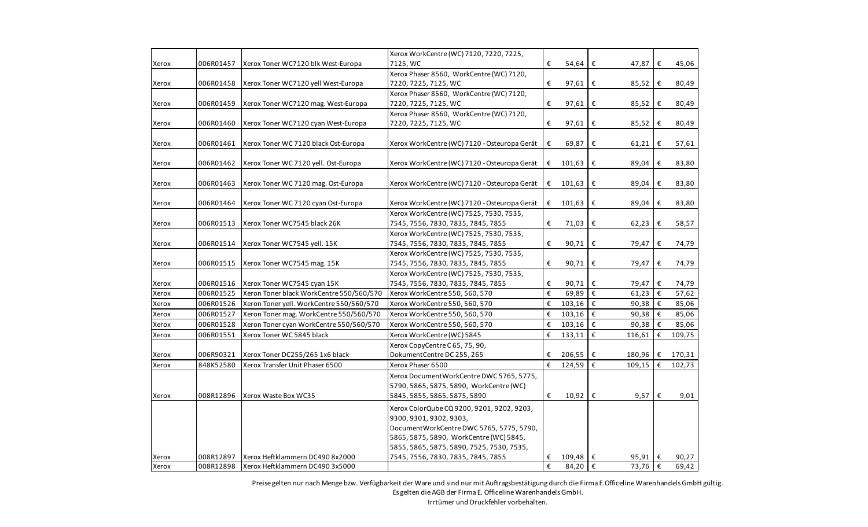|       | 006R01457 | Xerox Toner WC7120 blk West-Europa       | Xerox WorkCentre (WC) 7120, 7220, 7225,<br>7125, WC | €                       | 54,64                       |            | 47,87            | €          | 45,06  |
|-------|-----------|------------------------------------------|-----------------------------------------------------|-------------------------|-----------------------------|------------|------------------|------------|--------|
| Xerox |           |                                          | Xerox Phaser 8560, WorkCentre (WC) 7120,            |                         |                             | €          |                  |            |        |
| Xerox | 006R01458 | Xerox Toner WC7120 yell West-Europa      | 7220, 7225, 7125, WC                                | €                       | 97,61                       | €          | 85,52            | €          | 80,49  |
|       |           |                                          | Xerox Phaser 8560, WorkCentre (WC) 7120,            |                         |                             |            |                  |            |        |
| Xerox | 006R01459 | Xerox Toner WC7120 mag. West-Europa      | 7220, 7225, 7125, WC                                | €                       | 97,61                       | €          | 85,52            | €          | 80,49  |
|       |           |                                          | Xerox Phaser 8560, WorkCentre (WC) 7120,            |                         |                             |            |                  |            |        |
| Xerox | 006R01460 | Xerox Toner WC7120 cyan West-Europa      | 7220, 7225, 7125, WC                                | €                       | 97,61                       | €          | 85,52            | €          | 80,49  |
|       |           |                                          |                                                     |                         |                             |            |                  |            |        |
| Xerox | 006R01461 | Xerox Toner WC 7120 black Ost-Europa     | Xerox WorkCentre (WC) 7120 - Osteuropa Gerät        | €                       | 69,87                       | €          | 61,21            | €          | 57,61  |
| Xerox | 006R01462 | Xerox Toner WC 7120 yell. Ost-Europa     | Xerox WorkCentre (WC) 7120 - Osteuropa Gerät        | €                       | 101,63                      | €          | 89,04            | €          | 83,80  |
|       |           |                                          |                                                     |                         |                             |            |                  |            |        |
| Xerox | 006R01463 | Xerox Toner WC 7120 mag. Ost-Europa      | Xerox WorkCentre (WC) 7120 - Osteuropa Gerät        | €                       | 101,63                      | €          | 89,04            | €          | 83,80  |
| Xerox | 006R01464 | Xerox Toner WC 7120 cyan Ost-Europa      | Xerox WorkCentre (WC) 7120 - Osteuropa Gerät        | €                       | 101,63                      | €          | 89,04            | €          | 83,80  |
|       |           |                                          | Xerox WorkCentre (WC) 7525, 7530, 7535,             |                         |                             |            |                  |            |        |
| Xerox | 006R01513 | Xerox Toner WC7545 black 26K             | 7545, 7556, 7830, 7835, 7845, 7855                  | €                       | 71,03                       | €          | 62,23            | €          | 58,57  |
|       |           |                                          | Xerox WorkCentre (WC) 7525, 7530, 7535,             |                         |                             |            |                  |            |        |
| Xerox | 006R01514 | Xerox Toner WC7545 yell. 15K             | 7545, 7556, 7830, 7835, 7845, 7855                  | €                       | 90,71                       | €          | 79,47            | €          | 74,79  |
|       |           |                                          | Xerox WorkCentre (WC) 7525, 7530, 7535,             |                         |                             |            |                  |            |        |
| Xerox | 006R01515 | Xerox Toner WC7545 mag. 15K              | 7545, 7556, 7830, 7835, 7845, 7855                  | €                       | 90,71                       | €          | 79,47            | €          | 74,79  |
|       |           |                                          | Xerox WorkCentre (WC) 7525, 7530, 7535,             |                         |                             |            |                  |            |        |
| Xerox | 006R01516 | Xerox Toner WC7545 cyan 15K              | 7545, 7556, 7830, 7835, 7845, 7855                  | €                       | 90,71                       | €          | 79,47  €         |            | 74,79  |
| Xerox | 006R01525 | Xeron Toner black WorkCentre 550/560/570 | Xerox WorkCentre 550, 560, 570                      | €                       | 69,89 $\epsilon$            |            | 61,23            | $\epsilon$ | 57,62  |
| Xerox | 006R01526 | Xeron Toner yell. WorkCentre 550/560/570 | Xerox WorkCentre 550, 560, 570                      | $\boldsymbol{\epsilon}$ | $103,16$ €                  |            | 90,38            | €          | 85,06  |
| Xerox | 006R01527 | Xeron Toner mag. WorkCentre 550/560/570  | Xerox WorkCentre 550, 560, 570                      | €                       | $103,16$ €                  |            | 90,38            | ∣€         | 85,06  |
| Xerox | 006R01528 | Xeron Toner cyan WorkCentre 550/560/570  | Xerox WorkCentre 550, 560, 570                      | €                       | $103,16$ €                  |            | 90,38            | l€         | 85,06  |
| Xerox | 006R01551 | Xerox Toner WC 5845 black                | Xerox WorkCentre (WC) 5845                          | €                       | 133,11                      | $\epsilon$ | 116,61           | €          | 109,75 |
|       |           |                                          | Xerox CopyCentre C 65, 75, 90,                      |                         |                             |            |                  |            |        |
| Xerox | 006R90321 | Xerox Toner DC255/265 1x6 black          | DokumentCentre DC 255, 265                          | €                       | 206,55                      | €          | 180,96           | €          | 170,31 |
| Xerox | 848K52580 | Xerox Transfer Unit Phaser 6500          | Xerox Phaser 6500                                   | €                       | 124,59                      | €          | 109,15           | $\epsilon$ | 102,73 |
|       |           |                                          | Xerox DocumentWorkCentre DWC 5765, 5775,            |                         |                             |            |                  |            |        |
|       |           |                                          | 5790, 5865, 5875, 5890, WorkCentre (WC)             |                         |                             |            |                  |            |        |
| Xerox | 008R12896 | Xerox Waste Box WC35                     | 5845, 5855, 5865, 5875, 5890                        | €                       | $10,92 \in$                 |            | 9,57 $\epsilon$  |            | 9,01   |
|       |           |                                          | Xerox ColorQube CQ 9200, 9201, 9202, 9203,          |                         |                             |            |                  |            |        |
|       |           |                                          | 9300, 9301, 9302, 9303,                             |                         |                             |            |                  |            |        |
|       |           |                                          | DocumentWorkCentre DWC 5765, 5775, 5790,            |                         |                             |            |                  |            |        |
|       |           |                                          | 5865, 5875, 5890, WorkCentre (WC) 5845,             |                         |                             |            |                  |            |        |
|       |           |                                          | 5855, 5865, 5875, 5890, 7525, 7530, 7535,           |                         |                             |            |                  |            |        |
| Xerox | 008R12897 | Xerox Heftklammern DC490 8x2000          | 7545, 7556, 7830, 7835, 7845, 7855                  | €                       | 109,48                      | €          | 95,91            | $\epsilon$ | 90,27  |
| Xerox | 008R12898 | Xerox Heftklammern DC490 3x5000          |                                                     | €                       | 84,20 $\overline{\epsilon}$ |            | 73,76 $\epsilon$ |            | 69,42  |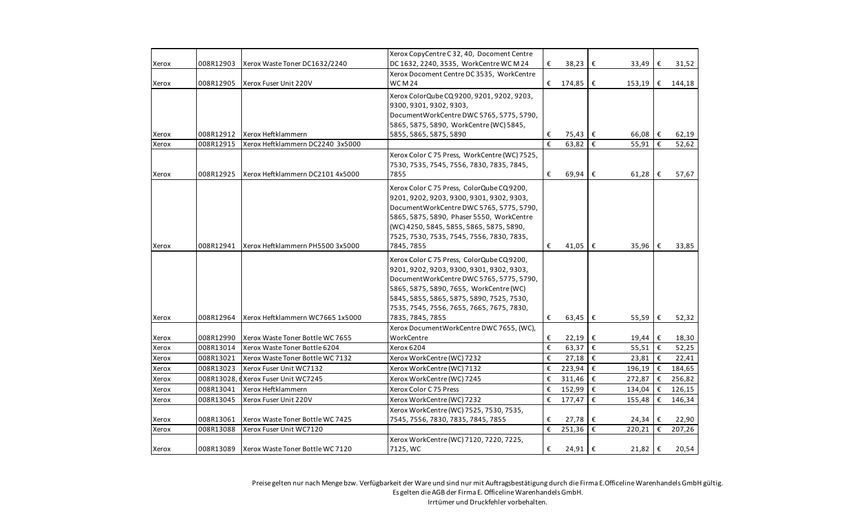|       |            |                                  | Xerox CopyCentre C 32, 40, Docoment Centre    |                       |                             |            |                      |     |        |
|-------|------------|----------------------------------|-----------------------------------------------|-----------------------|-----------------------------|------------|----------------------|-----|--------|
| Xerox | 008R12903  | Xerox Waste Toner DC1632/2240    | DC 1632, 2240, 3535, WorkCentre WC M 24       | €                     | 38,23                       | €          | 33,49                | €   | 31,52  |
|       |            |                                  | Xerox Docoment Centre DC 3535, WorkCentre     |                       |                             |            |                      |     |        |
| Xerox | 008R12905  | Xerox Fuser Unit 220V            | <b>WCM24</b>                                  | €                     | 174,85 €                    |            | 153,19               | €   | 144,18 |
|       |            |                                  | Xerox ColorQube CQ 9200, 9201, 9202, 9203,    |                       |                             |            |                      |     |        |
|       |            |                                  | 9300, 9301, 9302, 9303,                       |                       |                             |            |                      |     |        |
|       |            |                                  | DocumentWorkCentre DWC 5765, 5775, 5790,      |                       |                             |            |                      |     |        |
|       |            |                                  | 5865, 5875, 5890, WorkCentre (WC) 5845,       |                       |                             |            |                      |     |        |
| Xerox | 008R12912  | Xerox Heftklammern               | 5855, 5865, 5875, 5890                        | €                     | 75,43  €                    |            | 66,08                | ∣€  | 62,19  |
| Xerox | 008R12915  | Xerox Heftklammern DC2240 3x5000 |                                               | $\overline{\epsilon}$ | 63,82 $\overline{\epsilon}$ |            | 55,91                | €   | 52,62  |
|       |            |                                  | Xerox Color C 75 Press, WorkCentre (WC) 7525, |                       |                             |            |                      |     |        |
|       |            |                                  | 7530, 7535, 7545, 7556, 7830, 7835, 7845,     |                       |                             |            |                      |     |        |
| Xerox | 008R12925  | Xerox Heftklammern DC2101 4x5000 | 7855                                          | €                     | 69,94 $\epsilon$            |            | $61,28$   $\epsilon$ |     | 57,67  |
|       |            |                                  | Xerox Color C 75 Press, ColorQube CQ 9200,    |                       |                             |            |                      |     |        |
|       |            |                                  | 9201, 9202, 9203, 9300, 9301, 9302, 9303,     |                       |                             |            |                      |     |        |
|       |            |                                  | DocumentWorkCentre DWC 5765, 5775, 5790,      |                       |                             |            |                      |     |        |
|       |            |                                  | 5865, 5875, 5890, Phaser 5550, WorkCentre     |                       |                             |            |                      |     |        |
|       |            |                                  | (WC) 4250, 5845, 5855, 5865, 5875, 5890,      |                       |                             |            |                      |     |        |
|       |            |                                  | 7525, 7530, 7535, 7545, 7556, 7830, 7835,     |                       |                             |            |                      |     |        |
| Xerox | 008R12941  | Xerox Heftklammern PH5500 3x5000 | 7845,7855                                     | €                     | $41,05$ €                   |            | 35,96                | €   | 33,85  |
|       |            |                                  | Xerox Color C 75 Press, ColorQube CQ 9200,    |                       |                             |            |                      |     |        |
|       |            |                                  | 9201, 9202, 9203, 9300, 9301, 9302, 9303,     |                       |                             |            |                      |     |        |
|       |            |                                  | DocumentWorkCentre DWC 5765, 5775, 5790,      |                       |                             |            |                      |     |        |
|       |            |                                  | 5865, 5875, 5890, 7655, WorkCentre (WC)       |                       |                             |            |                      |     |        |
|       |            |                                  | 5845, 5855, 5865, 5875, 5890, 7525, 7530,     |                       |                             |            |                      |     |        |
|       |            |                                  | 7535, 7545, 7556, 7655, 7665, 7675, 7830,     |                       |                             |            |                      |     |        |
| Xerox | 008R12964  | Xerox Heftklammern WC7665 1x5000 | 7835, 7845, 7855                              | €                     | $63,45$ $\epsilon$          |            | 55,59                | I€  | 52,32  |
|       |            |                                  | Xerox DocumentWorkCentre DWC 7655, (WC),      |                       |                             |            |                      |     |        |
| Xerox | 008R12990  | Xerox Waste Toner Bottle WC 7655 | WorkCentre                                    | €                     | $22,19$   €                 |            | 19,44                | €   | 18,30  |
| Xerox | 008R13014  | Xerox Waste Toner Bottle 6204    | Xerox 6204                                    | €                     | 63,37 $\epsilon$            |            | 55,51                | €   | 52,25  |
| Xerox | 008R13021  | Xerox Waste Toner Bottle WC 7132 | Xerox WorkCentre (WC) 7232                    | €                     | 27,18 $\epsilon$            |            | 23,81                | €   | 22,41  |
| Xerox | 008R13023  | Xerox Fuser Unit WC7132          | Xerox WorkCentre (WC) 7132                    | €                     | 223,94 $\epsilon$           |            | 196,19               | l € | 184,65 |
| Xerox | 008R13028, | <b>(Xerox Fuser Unit WC7245)</b> | Xerox WorkCentre (WC) 7245                    | €                     | $311,46$ €                  |            | 272,87               | €   | 256,82 |
| Xerox | 008R13041  | Xerox Heftklammern               | Xerox Color C 75 Press                        | €                     | 152,99                      | $\epsilon$ | 134,04               | €   | 126,15 |
| Xerox | 008R13045  | Xerox Fuser Unit 220V            | Xerox WorkCentre (WC) 7232                    | €                     | 177,47                      | $\epsilon$ | 155,48               | €   | 146,34 |
|       |            |                                  | Xerox WorkCentre (WC) 7525, 7530, 7535,       |                       |                             |            |                      |     |        |
| Xerox | 008R13061  | Xerox Waste Toner Bottle WC 7425 | 7545, 7556, 7830, 7835, 7845, 7855            | €                     | 27,78                       | ∣€         | 24,34                | €   | 22,90  |
| Xerox | 008R13088  | Xerox Fuser Unit WC7120          |                                               | €                     | 251,36                      | €          | 220,21               | €   | 207,26 |
|       |            |                                  | Xerox WorkCentre (WC) 7120, 7220, 7225,       |                       |                             |            |                      |     |        |
| Xerox | 008R13089  | Xerox Waste Toner Bottle WC 7120 | 7125, WC                                      | €                     | 24,91 €                     |            | 21,82 $\vert$ €      |     | 20,54  |